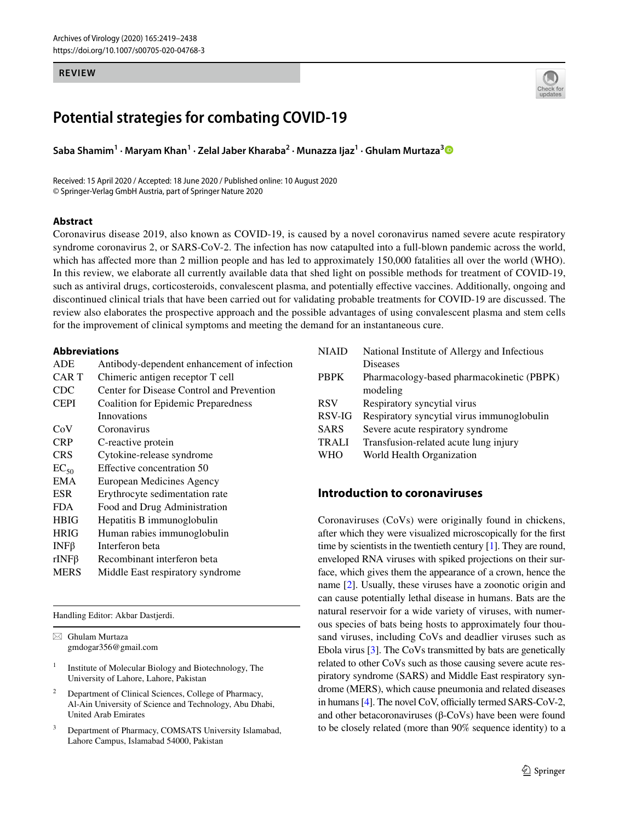#### **REVIEW**



# **Potential strategies for combating COVID‑19**

**Saba Shamim<sup>1</sup> · Maryam Khan<sup>1</sup> · Zelal Jaber Kharaba<sup>2</sup> · Munazza Ijaz<sup>1</sup> · Ghulam Murtaza[3](http://orcid.org/0000-0001-5649-5768)**

Received: 15 April 2020 / Accepted: 18 June 2020 / Published online: 10 August 2020 © Springer-Verlag GmbH Austria, part of Springer Nature 2020

### **Abstract**

Coronavirus disease 2019, also known as COVID-19, is caused by a novel coronavirus named severe acute respiratory syndrome coronavirus 2, or SARS-CoV-2. The infection has now catapulted into a full-blown pandemic across the world, which has affected more than 2 million people and has led to approximately 150,000 fatalities all over the world (WHO). In this review, we elaborate all currently available data that shed light on possible methods for treatment of COVID-19, such as antiviral drugs, corticosteroids, convalescent plasma, and potentially effective vaccines. Additionally, ongoing and discontinued clinical trials that have been carried out for validating probable treatments for COVID-19 are discussed. The review also elaborates the prospective approach and the possible advantages of using convalescent plasma and stem cells for the improvement of clinical symptoms and meeting the demand for an instantaneous cure.

### **Abbreviations**

| Antibody-dependent enhancement of infection |  |  |
|---------------------------------------------|--|--|
| Chimeric antigen receptor T cell            |  |  |
| Center for Disease Control and Prevention   |  |  |
| Coalition for Epidemic Preparedness         |  |  |
| Innovations                                 |  |  |
| Coronavirus                                 |  |  |
| C-reactive protein                          |  |  |
| Cytokine-release syndrome                   |  |  |
| Effective concentration 50                  |  |  |
| European Medicines Agency                   |  |  |
| Erythrocyte sedimentation rate              |  |  |
| Food and Drug Administration                |  |  |
| Hepatitis B immunoglobulin                  |  |  |
| Human rabies immunoglobulin                 |  |  |
| Interferon beta                             |  |  |
| Recombinant interferon beta                 |  |  |
| Middle East respiratory syndrome            |  |  |
|                                             |  |  |

Handling Editor: Akbar Dastjerdi.

 $\boxtimes$  Ghulam Murtaza gmdogar356@gmail.com

- 1 Institute of Molecular Biology and Biotechnology, The University of Lahore, Lahore, Pakistan
- 2 Department of Clinical Sciences, College of Pharmacy, Al-Ain University of Science and Technology, Abu Dhabi, United Arab Emirates
- 3 Department of Pharmacy, COMSATS University Islamabad, Lahore Campus, Islamabad 54000, Pakistan

| <b>NIAID</b> | National Institute of Allergy and Infectious |  |  |
|--------------|----------------------------------------------|--|--|
|              | <b>Diseases</b>                              |  |  |
| <b>PBPK</b>  | Pharmacology-based pharmacokinetic (PBPK)    |  |  |
|              | modeling                                     |  |  |
| <b>RSV</b>   | Respiratory syncytial virus                  |  |  |
| RSV-IG       | Respiratory syncytial virus immunoglobulin   |  |  |
| <b>SARS</b>  | Severe acute respiratory syndrome            |  |  |
| <b>TRALI</b> | Transfusion-related acute lung injury        |  |  |
| <b>WHO</b>   | World Health Organization                    |  |  |
|              |                                              |  |  |

# **Introduction to coronaviruses**

Coronaviruses (CoVs) were originally found in chickens, after which they were visualized microscopically for the first time by scientists in the twentieth century [[1\]](#page-14-0). They are round, enveloped RNA viruses with spiked projections on their surface, which gives them the appearance of a crown, hence the name [[2\]](#page-14-1). Usually, these viruses have a zoonotic origin and can cause potentially lethal disease in humans. Bats are the natural reservoir for a wide variety of viruses, with numerous species of bats being hosts to approximately four thousand viruses, including CoVs and deadlier viruses such as Ebola virus [[3](#page-14-2)]. The CoVs transmitted by bats are genetically related to other CoVs such as those causing severe acute respiratory syndrome (SARS) and Middle East respiratory syndrome (MERS), which cause pneumonia and related diseases in humans [[4](#page-14-3)]. The novel CoV, officially termed SARS-CoV-2, and other betacoronaviruses (β-CoVs) have been were found to be closely related (more than 90% sequence identity) to a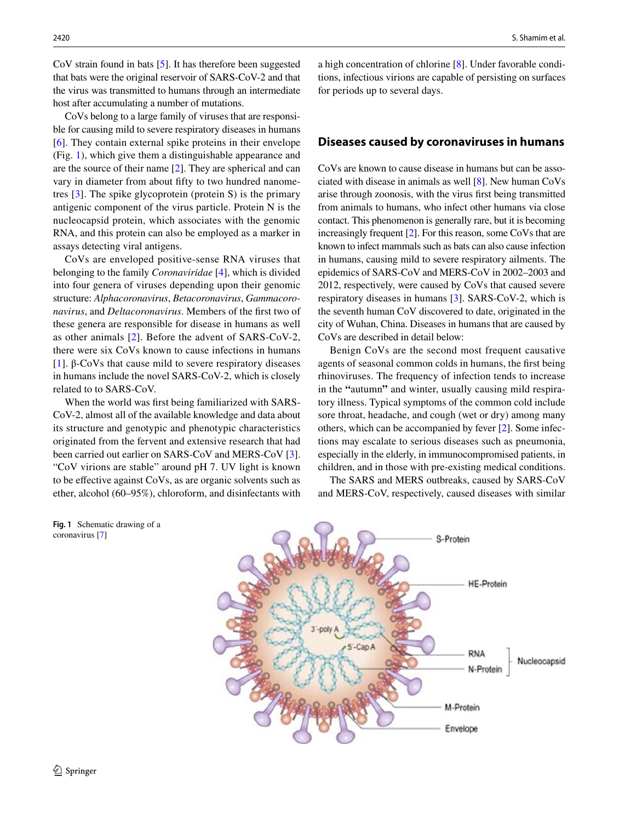CoV strain found in bats [\[5\]](#page-15-0). It has therefore been suggested that bats were the original reservoir of SARS-CoV-2 and that the virus was transmitted to humans through an intermediate host after accumulating a number of mutations.

CoVs belong to a large family of viruses that are responsible for causing mild to severe respiratory diseases in humans [\[6\]](#page-15-1). They contain external spike proteins in their envelope (Fig. [1\)](#page-1-0), which give them a distinguishable appearance and are the source of their name [\[2](#page-14-1)]. They are spherical and can vary in diameter from about fifty to two hundred nanometres [\[3](#page-14-2)]. The spike glycoprotein (protein S) is the primary antigenic component of the virus particle. Protein N is the nucleocapsid protein, which associates with the genomic RNA, and this protein can also be employed as a marker in assays detecting viral antigens.

CoVs are enveloped positive-sense RNA viruses that belonging to the family *Coronaviridae* [\[4](#page-14-3)], which is divided into four genera of viruses depending upon their genomic structure: *Alphacoronavirus*, *Betacoronavirus*, *Gammacoronavirus*, and *Deltacoronavirus*. Members of the first two of these genera are responsible for disease in humans as well as other animals [\[2\]](#page-14-1). Before the advent of SARS-CoV-2, there were six CoVs known to cause infections in humans [\[1\]](#page-14-0). β-CoVs that cause mild to severe respiratory diseases in humans include the novel SARS-CoV-2, which is closely related to to SARS-CoV.

When the world was first being familiarized with SARS-CoV-2, almost all of the available knowledge and data about its structure and genotypic and phenotypic characteristics originated from the fervent and extensive research that had been carried out earlier on SARS-CoV and MERS-CoV [\[3](#page-14-2)]. "CoV virions are stable" around pH 7. UV light is known to be effective against CoVs, as are organic solvents such as ether, alcohol (60–95%), chloroform, and disinfectants with

2420 S. Shamim et al.

a high concentration of chlorine [\[8](#page-15-2)]. Under favorable conditions, infectious virions are capable of persisting on surfaces for periods up to several days.

# **Diseases caused by coronaviruses in humans**

CoVs are known to cause disease in humans but can be associated with disease in animals as well [[8\]](#page-15-2). New human CoVs arise through zoonosis, with the virus first being transmitted from animals to humans, who infect other humans via close contact. This phenomenon is generally rare, but it is becoming increasingly frequent [\[2](#page-14-1)]. For this reason, some CoVs that are known to infect mammals such as bats can also cause infection in humans, causing mild to severe respiratory ailments. The epidemics of SARS-CoV and MERS-CoV in 2002–2003 and 2012, respectively, were caused by CoVs that caused severe respiratory diseases in humans [\[3](#page-14-2)]. SARS-CoV-2, which is the seventh human CoV discovered to date, originated in the city of Wuhan, China. Diseases in humans that are caused by CoVs are described in detail below:

Benign CoVs are the second most frequent causative agents of seasonal common colds in humans, the first being rhinoviruses. The frequency of infection tends to increase in the **"**autumn**"** and winter, usually causing mild respiratory illness. Typical symptoms of the common cold include sore throat, headache, and cough (wet or dry) among many others, which can be accompanied by fever [[2\]](#page-14-1). Some infections may escalate to serious diseases such as pneumonia, especially in the elderly, in immunocompromised patients, in children, and in those with pre-existing medical conditions.

The SARS and MERS outbreaks, caused by SARS-CoV and MERS-CoV, respectively, caused diseases with similar



<span id="page-1-0"></span>**Fig. 1** Schematic drawing of a

coronavirus [[7](#page-15-3)]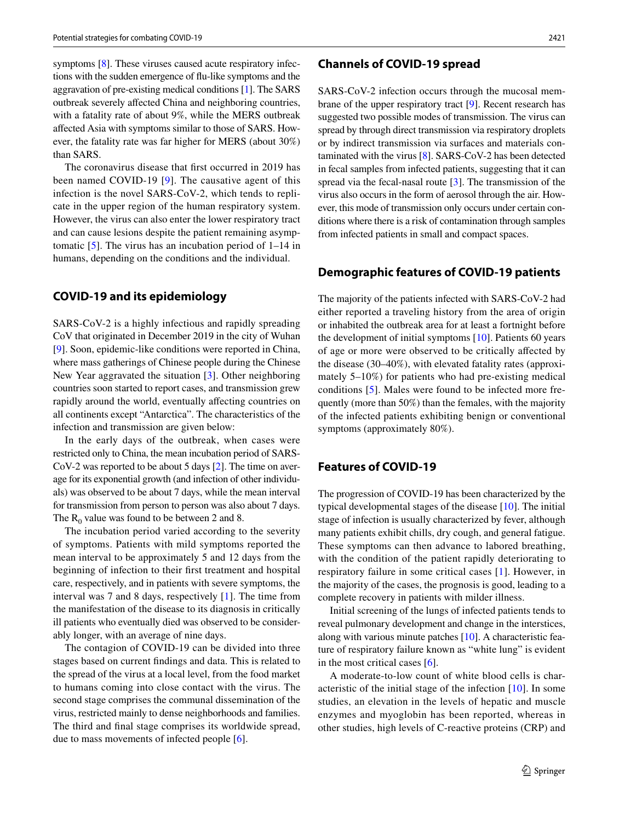symptoms [[8\]](#page-15-2). These viruses caused acute respiratory infections with the sudden emergence of flu-like symptoms and the aggravation of pre-existing medical conditions [\[1\]](#page-14-0). The SARS outbreak severely affected China and neighboring countries, with a fatality rate of about 9%, while the MERS outbreak affected Asia with symptoms similar to those of SARS. However, the fatality rate was far higher for MERS (about 30%) than SARS.

The coronavirus disease that first occurred in 2019 has been named COVID-19 [[9\]](#page-15-4). The causative agent of this infection is the novel SARS-CoV-2, which tends to replicate in the upper region of the human respiratory system. However, the virus can also enter the lower respiratory tract and can cause lesions despite the patient remaining asymptomatic  $[5]$  $[5]$ . The virus has an incubation period of  $1-14$  in humans, depending on the conditions and the individual.

## **COVID‑19 and its epidemiology**

SARS-CoV-2 is a highly infectious and rapidly spreading CoV that originated in December 2019 in the city of Wuhan [\[9](#page-15-4)]. Soon, epidemic-like conditions were reported in China, where mass gatherings of Chinese people during the Chinese New Year aggravated the situation [\[3](#page-14-2)]. Other neighboring countries soon started to report cases, and transmission grew rapidly around the world, eventually affecting countries on all continents except "Antarctica". The characteristics of the infection and transmission are given below:

In the early days of the outbreak, when cases were restricted only to China, the mean incubation period of SARS-CoV-2 was reported to be about 5 days [[2\]](#page-14-1). The time on average for its exponential growth (and infection of other individuals) was observed to be about 7 days, while the mean interval for transmission from person to person was also about 7 days. The  $R_0$  value was found to be between 2 and 8.

The incubation period varied according to the severity of symptoms. Patients with mild symptoms reported the mean interval to be approximately 5 and 12 days from the beginning of infection to their first treatment and hospital care, respectively, and in patients with severe symptoms, the interval was 7 and 8 days, respectively [[1\]](#page-14-0). The time from the manifestation of the disease to its diagnosis in critically ill patients who eventually died was observed to be considerably longer, with an average of nine days.

The contagion of COVID-19 can be divided into three stages based on current findings and data. This is related to the spread of the virus at a local level, from the food market to humans coming into close contact with the virus. The second stage comprises the communal dissemination of the virus, restricted mainly to dense neighborhoods and families. The third and final stage comprises its worldwide spread, due to mass movements of infected people [[6\]](#page-15-1).

### **Channels of COVID‑19 spread**

SARS-CoV-2 infection occurs through the mucosal membrane of the upper respiratory tract [[9\]](#page-15-4). Recent research has suggested two possible modes of transmission. The virus can spread by through direct transmission via respiratory droplets or by indirect transmission via surfaces and materials contaminated with the virus [[8](#page-15-2)]. SARS-CoV-2 has been detected in fecal samples from infected patients, suggesting that it can spread via the fecal-nasal route [\[3](#page-14-2)]. The transmission of the virus also occurs in the form of aerosol through the air. However, this mode of transmission only occurs under certain conditions where there is a risk of contamination through samples from infected patients in small and compact spaces.

# **Demographic features of COVID‑19 patients**

The majority of the patients infected with SARS-CoV-2 had either reported a traveling history from the area of origin or inhabited the outbreak area for at least a fortnight before the development of initial symptoms [\[10](#page-15-5)]. Patients 60 years of age or more were observed to be critically affected by the disease (30–40%), with elevated fatality rates (approximately 5–10%) for patients who had pre-existing medical conditions [\[5](#page-15-0)]. Males were found to be infected more frequently (more than 50%) than the females, with the majority of the infected patients exhibiting benign or conventional symptoms (approximately 80%).

# **Features of COVID‑19**

The progression of COVID-19 has been characterized by the typical developmental stages of the disease [\[10](#page-15-5)]. The initial stage of infection is usually characterized by fever, although many patients exhibit chills, dry cough, and general fatigue. These symptoms can then advance to labored breathing, with the condition of the patient rapidly deteriorating to respiratory failure in some critical cases [[1](#page-14-0)]. However, in the majority of the cases, the prognosis is good, leading to a complete recovery in patients with milder illness.

Initial screening of the lungs of infected patients tends to reveal pulmonary development and change in the interstices, along with various minute patches  $[10]$  $[10]$ . A characteristic feature of respiratory failure known as "white lung" is evident in the most critical cases [\[6](#page-15-1)].

A moderate-to-low count of white blood cells is characteristic of the initial stage of the infection [\[10\]](#page-15-5). In some studies, an elevation in the levels of hepatic and muscle enzymes and myoglobin has been reported, whereas in other studies, high levels of C-reactive proteins (CRP) and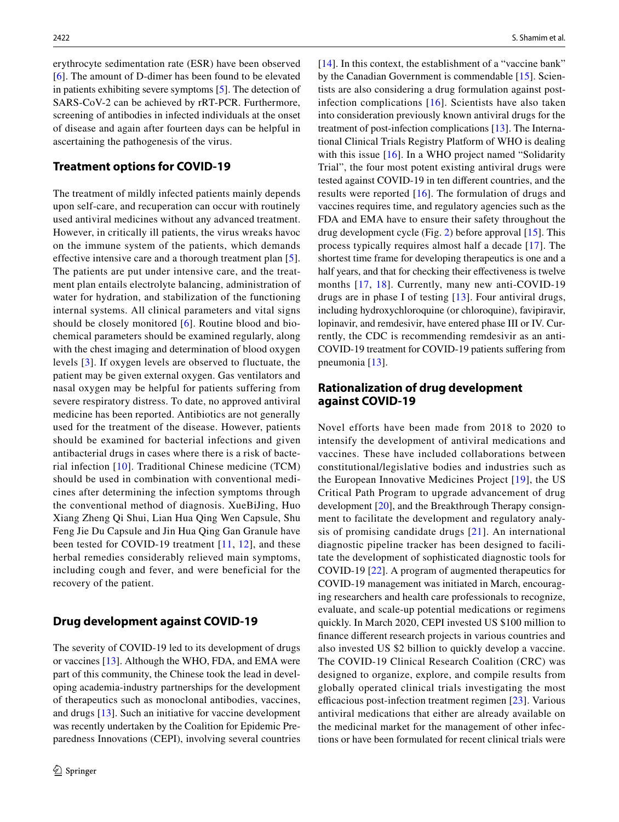erythrocyte sedimentation rate (ESR) have been observed [\[6\]](#page-15-1). The amount of D-dimer has been found to be elevated in patients exhibiting severe symptoms [\[5](#page-15-0)]. The detection of SARS-CoV-2 can be achieved by rRT-PCR. Furthermore, screening of antibodies in infected individuals at the onset of disease and again after fourteen days can be helpful in ascertaining the pathogenesis of the virus.

# **Treatment options for COVID‑19**

The treatment of mildly infected patients mainly depends upon self-care, and recuperation can occur with routinely used antiviral medicines without any advanced treatment. However, in critically ill patients, the virus wreaks havoc on the immune system of the patients, which demands effective intensive care and a thorough treatment plan [[5](#page-15-0)]. The patients are put under intensive care, and the treatment plan entails electrolyte balancing, administration of water for hydration, and stabilization of the functioning internal systems. All clinical parameters and vital signs should be closely monitored [[6](#page-15-1)]. Routine blood and biochemical parameters should be examined regularly, along with the chest imaging and determination of blood oxygen levels [[3\]](#page-14-2). If oxygen levels are observed to fluctuate, the patient may be given external oxygen. Gas ventilators and nasal oxygen may be helpful for patients suffering from severe respiratory distress. To date, no approved antiviral medicine has been reported. Antibiotics are not generally used for the treatment of the disease. However, patients should be examined for bacterial infections and given antibacterial drugs in cases where there is a risk of bacterial infection [\[10\]](#page-15-5). Traditional Chinese medicine (TCM) should be used in combination with conventional medicines after determining the infection symptoms through the conventional method of diagnosis. XueBiJing, Huo Xiang Zheng Qi Shui, Lian Hua Qing Wen Capsule, Shu Feng Jie Du Capsule and Jin Hua Qing Gan Granule have been tested for COVID-19 treatment [[11,](#page-15-6) [12\]](#page-15-7), and these herbal remedies considerably relieved main symptoms, including cough and fever, and were beneficial for the recovery of the patient.

### **Drug development against COVID‑19**

The severity of COVID-19 led to its development of drugs or vaccines [[13\]](#page-15-8). Although the WHO, FDA, and EMA were part of this community, the Chinese took the lead in developing academia-industry partnerships for the development of therapeutics such as monoclonal antibodies, vaccines, and drugs [\[13](#page-15-8)]. Such an initiative for vaccine development was recently undertaken by the Coalition for Epidemic Preparedness Innovations (CEPI), involving several countries [[14\]](#page-15-9). In this context, the establishment of a "vaccine bank" by the Canadian Government is commendable [[15\]](#page-15-10). Scientists are also considering a drug formulation against postinfection complications [[16](#page-15-11)]. Scientists have also taken into consideration previously known antiviral drugs for the treatment of post-infection complications [\[13](#page-15-8)]. The International Clinical Trials Registry Platform of WHO is dealing with this issue [\[16](#page-15-11)]. In a WHO project named "Solidarity" Trial", the four most potent existing antiviral drugs were tested against COVID-19 in ten different countries, and the results were reported [[16](#page-15-11)]. The formulation of drugs and vaccines requires time, and regulatory agencies such as the FDA and EMA have to ensure their safety throughout the drug development cycle (Fig. [2\)](#page-4-0) before approval [[15\]](#page-15-10). This process typically requires almost half a decade [[17](#page-15-12)]. The shortest time frame for developing therapeutics is one and a half years, and that for checking their effectiveness is twelve months [[17](#page-15-12), [18\]](#page-15-13). Currently, many new anti-COVID-19 drugs are in phase I of testing [\[13\]](#page-15-8). Four antiviral drugs, including hydroxychloroquine (or chloroquine), favipiravir, lopinavir, and remdesivir, have entered phase III or IV. Currently, the CDC is recommending remdesivir as an anti-COVID-19 treatment for COVID-19 patients suffering from pneumonia [\[13](#page-15-8)].

# **Rationalization of drug development against COVID‑19**

Novel efforts have been made from 2018 to 2020 to intensify the development of antiviral medications and vaccines. These have included collaborations between constitutional/legislative bodies and industries such as the European Innovative Medicines Project [[19](#page-15-14)], the US Critical Path Program to upgrade advancement of drug development [\[20](#page-15-15)], and the Breakthrough Therapy consignment to facilitate the development and regulatory analysis of promising candidate drugs [[21](#page-15-16)]. An international diagnostic pipeline tracker has been designed to facilitate the development of sophisticated diagnostic tools for COVID-19 [\[22\]](#page-15-17). A program of augmented therapeutics for COVID-19 management was initiated in March, encouraging researchers and health care professionals to recognize, evaluate, and scale-up potential medications or regimens quickly. In March 2020, CEPI invested US \$100 million to finance different research projects in various countries and also invested US \$2 billion to quickly develop a vaccine. The COVID-19 Clinical Research Coalition (CRC) was designed to organize, explore, and compile results from globally operated clinical trials investigating the most efficacious post-infection treatment regimen [\[23\]](#page-15-18). Various antiviral medications that either are already available on the medicinal market for the management of other infections or have been formulated for recent clinical trials were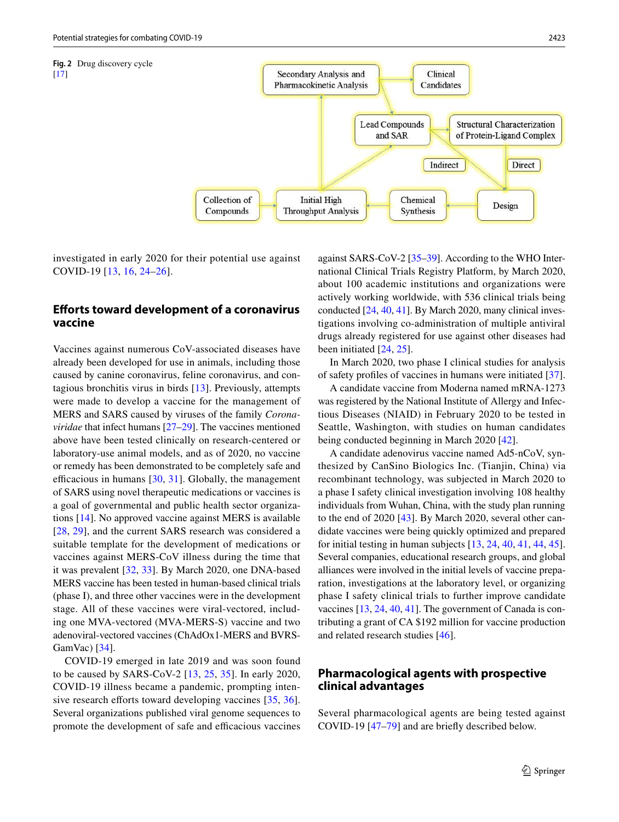<span id="page-4-0"></span>

investigated in early 2020 for their potential use against COVID-19 [\[13,](#page-15-8) [16](#page-15-11), [24–](#page-15-19)[26](#page-15-20)].

# **Efforts toward development of a coronavirus vaccine**

Vaccines against numerous CoV-associated diseases have already been developed for use in animals, including those caused by canine coronavirus, feline coronavirus, and contagious bronchitis virus in birds [[13\]](#page-15-8). Previously, attempts were made to develop a vaccine for the management of MERS and SARS caused by viruses of the family *Coronaviridae* that infect humans [\[27–](#page-15-21)[29\]](#page-15-22). The vaccines mentioned above have been tested clinically on research-centered or laboratory-use animal models, and as of 2020, no vaccine or remedy has been demonstrated to be completely safe and efficacious in humans [\[30,](#page-15-23) [31](#page-15-24)]. Globally, the management of SARS using novel therapeutic medications or vaccines is a goal of governmental and public health sector organizations [[14\]](#page-15-9). No approved vaccine against MERS is available [\[28,](#page-15-25) [29](#page-15-22)], and the current SARS research was considered a suitable template for the development of medications or vaccines against MERS-CoV illness during the time that it was prevalent [[32](#page-15-26), [33](#page-15-27)]. By March 2020, one DNA-based MERS vaccine has been tested in human-based clinical trials (phase I), and three other vaccines were in the development stage. All of these vaccines were viral-vectored, including one MVA-vectored (MVA-MERS-S) vaccine and two adenoviral-vectored vaccines (ChAdOx1-MERS and BVRS-GamVac) [\[34](#page-15-28)].

COVID-19 emerged in late 2019 and was soon found to be caused by SARS-CoV-2 [[13,](#page-15-8) [25,](#page-15-29) [35](#page-15-30)]. In early 2020, COVID-19 illness became a pandemic, prompting inten-sive research efforts toward developing vaccines [\[35](#page-15-30), [36](#page-15-31)]. Several organizations published viral genome sequences to promote the development of safe and efficacious vaccines against SARS-CoV-2 [[35–](#page-15-30)[39\]](#page-15-32). According to the WHO International Clinical Trials Registry Platform, by March 2020, about 100 academic institutions and organizations were actively working worldwide, with 536 clinical trials being conducted [\[24](#page-15-19), [40,](#page-15-33) [41](#page-15-34)]. By March 2020, many clinical investigations involving co-administration of multiple antiviral drugs already registered for use against other diseases had been initiated [[24,](#page-15-19) [25\]](#page-15-29).

In March 2020, two phase I clinical studies for analysis of safety profiles of vaccines in humans were initiated [\[37](#page-15-35)].

A candidate vaccine from Moderna named mRNA-1273 was registered by the National Institute of Allergy and Infectious Diseases (NIAID) in February 2020 to be tested in Seattle, Washington, with studies on human candidates being conducted beginning in March 2020 [[42\]](#page-15-36).

A candidate adenovirus vaccine named Ad5-nCoV, synthesized by CanSino Biologics Inc. (Tianjin, China) via recombinant technology, was subjected in March 2020 to a phase I safety clinical investigation involving 108 healthy individuals from Wuhan, China, with the study plan running to the end of 2020 [[43\]](#page-15-37). By March 2020, several other candidate vaccines were being quickly optimized and prepared for initial testing in human subjects [\[13,](#page-15-8) [24,](#page-15-19) [40](#page-15-33), [41](#page-15-34), [44](#page-15-38), [45](#page-16-0)]. Several companies, educational research groups, and global alliances were involved in the initial levels of vaccine preparation, investigations at the laboratory level, or organizing phase I safety clinical trials to further improve candidate vaccines [[13,](#page-15-8) [24](#page-15-19), [40](#page-15-33), [41\]](#page-15-34). The government of Canada is contributing a grant of CA \$192 million for vaccine production and related research studies [[46](#page-16-1)].

# **Pharmacological agents with prospective clinical advantages**

Several pharmacological agents are being tested against COVID-19 [[47](#page-16-2)[–79](#page-16-3)] and are briefly described below.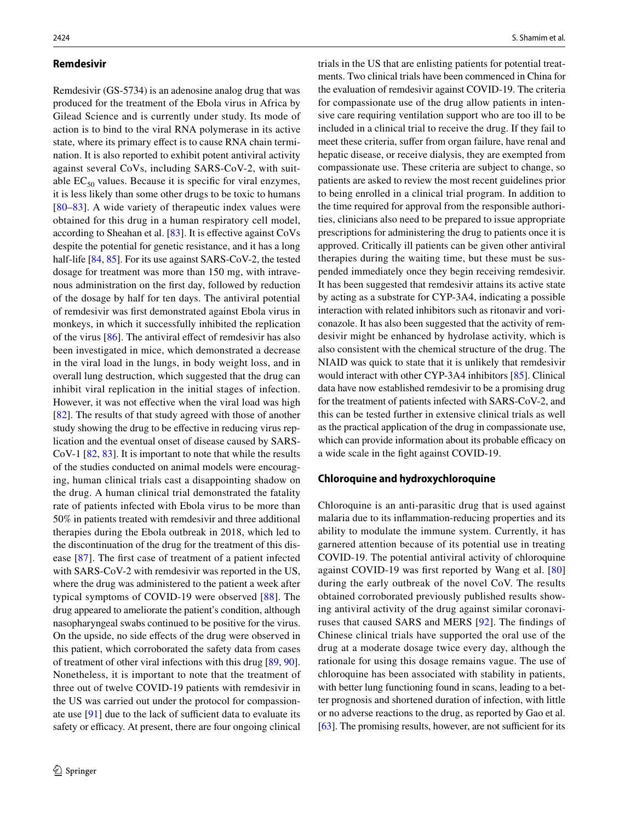### **Remdesivir**

Remdesivir (GS-5734) is an adenosine analog drug that was produced for the treatment of the Ebola virus in Africa by Gilead Science and is currently under study. Its mode of action is to bind to the viral RNA polymerase in its active state, where its primary effect is to cause RNA chain termination. It is also reported to exhibit potent antiviral activity against several CoVs, including SARS-CoV-2, with suitable  $EC_{50}$  values. Because it is specific for viral enzymes, it is less likely than some other drugs to be toxic to humans [\[80–](#page-16-4)[83](#page-17-0)]. A wide variety of therapeutic index values were obtained for this drug in a human respiratory cell model, according to Sheahan et al. [[83\]](#page-17-0). It is effective against CoVs despite the potential for genetic resistance, and it has a long half-life [[84,](#page-17-1) [85](#page-17-2)]. For its use against SARS-CoV-2, the tested dosage for treatment was more than 150 mg, with intravenous administration on the first day, followed by reduction of the dosage by half for ten days. The antiviral potential of remdesivir was first demonstrated against Ebola virus in monkeys, in which it successfully inhibited the replication of the virus [[86](#page-17-3)]. The antiviral effect of remdesivir has also been investigated in mice, which demonstrated a decrease in the viral load in the lungs, in body weight loss, and in overall lung destruction, which suggested that the drug can inhibit viral replication in the initial stages of infection. However, it was not effective when the viral load was high [\[82\]](#page-16-5). The results of that study agreed with those of another study showing the drug to be effective in reducing virus replication and the eventual onset of disease caused by SARS-CoV-1 [[82,](#page-16-5) [83\]](#page-17-0). It is important to note that while the results of the studies conducted on animal models were encouraging, human clinical trials cast a disappointing shadow on the drug. A human clinical trial demonstrated the fatality rate of patients infected with Ebola virus to be more than 50% in patients treated with remdesivir and three additional therapies during the Ebola outbreak in 2018, which led to the discontinuation of the drug for the treatment of this disease [[87](#page-17-4)]. The first case of treatment of a patient infected with SARS-CoV-2 with remdesivir was reported in the US, where the drug was administered to the patient a week after typical symptoms of COVID-19 were observed [[88](#page-17-5)]. The drug appeared to ameliorate the patient's condition, although nasopharyngeal swabs continued to be positive for the virus. On the upside, no side effects of the drug were observed in this patient, which corroborated the safety data from cases of treatment of other viral infections with this drug [\[89,](#page-17-6) [90](#page-17-7)]. Nonetheless, it is important to note that the treatment of three out of twelve COVID-19 patients with remdesivir in the US was carried out under the protocol for compassionate use [[91\]](#page-17-8) due to the lack of sufficient data to evaluate its safety or efficacy. At present, there are four ongoing clinical trials in the US that are enlisting patients for potential treatments. Two clinical trials have been commenced in China for the evaluation of remdesivir against COVID-19. The criteria for compassionate use of the drug allow patients in intensive care requiring ventilation support who are too ill to be included in a clinical trial to receive the drug. If they fail to meet these criteria, suffer from organ failure, have renal and hepatic disease, or receive dialysis, they are exempted from compassionate use. These criteria are subject to change, so patients are asked to review the most recent guidelines prior to being enrolled in a clinical trial program. In addition to the time required for approval from the responsible authorities, clinicians also need to be prepared to issue appropriate prescriptions for administering the drug to patients once it is approved. Critically ill patients can be given other antiviral therapies during the waiting time, but these must be suspended immediately once they begin receiving remdesivir. It has been suggested that remdesivir attains its active state by acting as a substrate for CYP-3A4, indicating a possible interaction with related inhibitors such as ritonavir and voriconazole. It has also been suggested that the activity of remdesivir might be enhanced by hydrolase activity, which is also consistent with the chemical structure of the drug. The NIAID was quick to state that it is unlikely that remdesivir would interact with other CYP-3A4 inhibitors [\[85](#page-17-2)]. Clinical data have now established remdesivir to be a promising drug for the treatment of patients infected with SARS-CoV-2, and this can be tested further in extensive clinical trials as well as the practical application of the drug in compassionate use, which can provide information about its probable efficacy on a wide scale in the fight against COVID-19.

#### **Chloroquine and hydroxychloroquine**

Chloroquine is an anti-parasitic drug that is used against malaria due to its inflammation-reducing properties and its ability to modulate the immune system. Currently, it has garnered attention because of its potential use in treating COVID-19. The potential antiviral activity of chloroquine against COVID-19 was first reported by Wang et al. [[80](#page-16-4)] during the early outbreak of the novel CoV. The results obtained corroborated previously published results showing antiviral activity of the drug against similar coronaviruses that caused SARS and MERS [[92](#page-17-9)]. The findings of Chinese clinical trials have supported the oral use of the drug at a moderate dosage twice every day, although the rationale for using this dosage remains vague. The use of chloroquine has been associated with stability in patients, with better lung functioning found in scans, leading to a better prognosis and shortened duration of infection, with little or no adverse reactions to the drug, as reported by Gao et al. [\[63](#page-16-6)]. The promising results, however, are not sufficient for its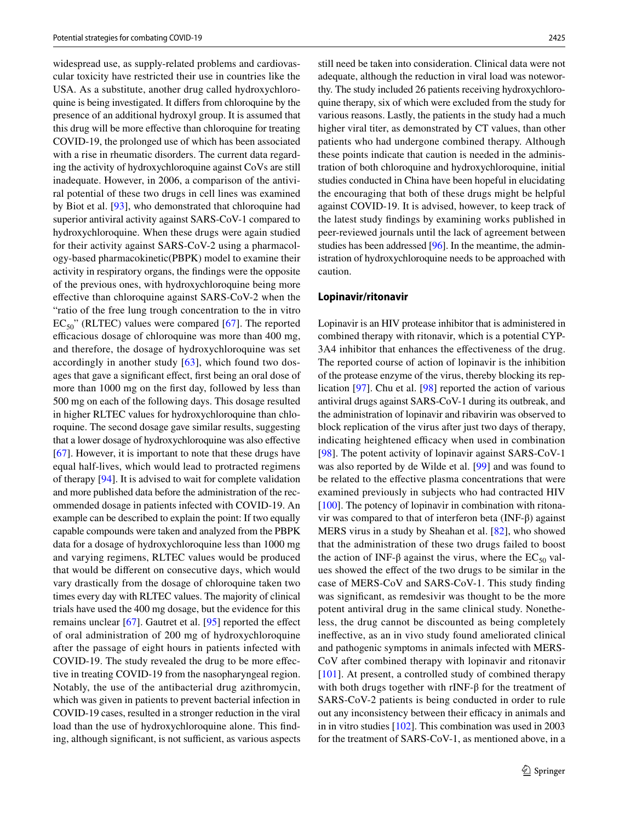widespread use, as supply-related problems and cardiovascular toxicity have restricted their use in countries like the USA. As a substitute, another drug called hydroxychloroquine is being investigated. It differs from chloroquine by the presence of an additional hydroxyl group. It is assumed that this drug will be more effective than chloroquine for treating COVID-19, the prolonged use of which has been associated with a rise in rheumatic disorders. The current data regarding the activity of hydroxychloroquine against CoVs are still inadequate. However, in 2006, a comparison of the antiviral potential of these two drugs in cell lines was examined by Biot et al. [[93\]](#page-17-10), who demonstrated that chloroquine had superior antiviral activity against SARS-CoV-1 compared to hydroxychloroquine. When these drugs were again studied for their activity against SARS-CoV-2 using a pharmacology-based pharmacokinetic(PBPK) model to examine their activity in respiratory organs, the findings were the opposite of the previous ones, with hydroxychloroquine being more effective than chloroquine against SARS-CoV-2 when the "ratio of the free lung trough concentration to the in vitro  $EC_{50}$ " (RLTEC) values were compared [\[67](#page-16-7)]. The reported efficacious dosage of chloroquine was more than 400 mg, and therefore, the dosage of hydroxychloroquine was set accordingly in another study [[63](#page-16-6)], which found two dosages that gave a significant effect, first being an oral dose of more than 1000 mg on the first day, followed by less than 500 mg on each of the following days. This dosage resulted in higher RLTEC values for hydroxychloroquine than chloroquine. The second dosage gave similar results, suggesting that a lower dosage of hydroxychloroquine was also effective [\[67\]](#page-16-7). However, it is important to note that these drugs have equal half-lives, which would lead to protracted regimens of therapy [[94\]](#page-17-11). It is advised to wait for complete validation and more published data before the administration of the recommended dosage in patients infected with COVID-19. An example can be described to explain the point: If two equally capable compounds were taken and analyzed from the PBPK data for a dosage of hydroxychloroquine less than 1000 mg and varying regimens, RLTEC values would be produced that would be different on consecutive days, which would vary drastically from the dosage of chloroquine taken two times every day with RLTEC values. The majority of clinical trials have used the 400 mg dosage, but the evidence for this remains unclear [[67\]](#page-16-7). Gautret et al. [[95](#page-17-12)] reported the effect of oral administration of 200 mg of hydroxychloroquine after the passage of eight hours in patients infected with COVID-19. The study revealed the drug to be more effective in treating COVID-19 from the nasopharyngeal region. Notably, the use of the antibacterial drug azithromycin, which was given in patients to prevent bacterial infection in COVID-19 cases, resulted in a stronger reduction in the viral load than the use of hydroxychloroquine alone. This finding, although significant, is not sufficient, as various aspects still need be taken into consideration. Clinical data were not adequate, although the reduction in viral load was noteworthy. The study included 26 patients receiving hydroxychloroquine therapy, six of which were excluded from the study for various reasons. Lastly, the patients in the study had a much higher viral titer, as demonstrated by CT values, than other patients who had undergone combined therapy. Although these points indicate that caution is needed in the administration of both chloroquine and hydroxychloroquine, initial studies conducted in China have been hopeful in elucidating the encouraging that both of these drugs might be helpful against COVID-19. It is advised, however, to keep track of the latest study findings by examining works published in peer-reviewed journals until the lack of agreement between studies has been addressed [\[96\]](#page-17-13). In the meantime, the administration of hydroxychloroquine needs to be approached with caution.

#### **Lopinavir/ritonavir**

Lopinavir is an HIV protease inhibitor that is administered in combined therapy with ritonavir, which is a potential CYP-3A4 inhibitor that enhances the effectiveness of the drug. The reported course of action of lopinavir is the inhibition of the protease enzyme of the virus, thereby blocking its replication [[97\]](#page-17-14). Chu et al. [\[98](#page-17-15)] reported the action of various antiviral drugs against SARS-CoV-1 during its outbreak, and the administration of lopinavir and ribavirin was observed to block replication of the virus after just two days of therapy, indicating heightened efficacy when used in combination [[98\]](#page-17-15). The potent activity of lopinavir against SARS-CoV-1 was also reported by de Wilde et al. [[99\]](#page-17-16) and was found to be related to the effective plasma concentrations that were examined previously in subjects who had contracted HIV [[100\]](#page-17-17). The potency of lopinavir in combination with ritonavir was compared to that of interferon beta (INF-β) against MERS virus in a study by Sheahan et al. [\[82\]](#page-16-5), who showed that the administration of these two drugs failed to boost the action of INF-β against the virus, where the  $EC_{50}$  values showed the effect of the two drugs to be similar in the case of MERS-CoV and SARS-CoV-1. This study finding was significant, as remdesivir was thought to be the more potent antiviral drug in the same clinical study. Nonetheless, the drug cannot be discounted as being completely ineffective, as an in vivo study found ameliorated clinical and pathogenic symptoms in animals infected with MERS-CoV after combined therapy with lopinavir and ritonavir [[101\]](#page-17-18). At present, a controlled study of combined therapy with both drugs together with rINF-β for the treatment of SARS-CoV-2 patients is being conducted in order to rule out any inconsistency between their efficacy in animals and in in vitro studies [[102\]](#page-17-19). This combination was used in 2003 for the treatment of SARS-CoV-1, as mentioned above, in a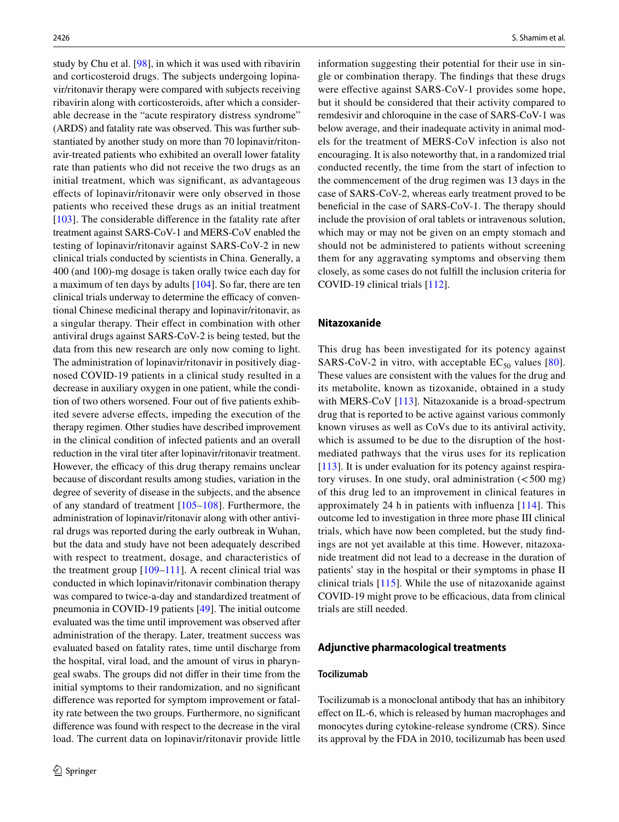study by Chu et al. [[98\]](#page-17-15), in which it was used with ribavirin and corticosteroid drugs. The subjects undergoing lopinavir/ritonavir therapy were compared with subjects receiving ribavirin along with corticosteroids, after which a considerable decrease in the "acute respiratory distress syndrome" (ARDS) and fatality rate was observed. This was further substantiated by another study on more than 70 lopinavir/ritonavir-treated patients who exhibited an overall lower fatality rate than patients who did not receive the two drugs as an initial treatment, which was significant, as advantageous effects of lopinavir/ritonavir were only observed in those patients who received these drugs as an initial treatment [\[103\]](#page-17-20). The considerable difference in the fatality rate after treatment against SARS-CoV-1 and MERS-CoV enabled the testing of lopinavir/ritonavir against SARS-CoV-2 in new clinical trials conducted by scientists in China. Generally, a 400 (and 100)-mg dosage is taken orally twice each day for a maximum of ten days by adults [\[104](#page-17-21)]. So far, there are ten clinical trials underway to determine the efficacy of conventional Chinese medicinal therapy and lopinavir/ritonavir, as a singular therapy. Their effect in combination with other antiviral drugs against SARS-CoV-2 is being tested, but the data from this new research are only now coming to light. The administration of lopinavir/ritonavir in positively diagnosed COVID-19 patients in a clinical study resulted in a decrease in auxiliary oxygen in one patient, while the condition of two others worsened. Four out of five patients exhibited severe adverse effects, impeding the execution of the therapy regimen. Other studies have described improvement in the clinical condition of infected patients and an overall reduction in the viral titer after lopinavir/ritonavir treatment. However, the efficacy of this drug therapy remains unclear because of discordant results among studies, variation in the degree of severity of disease in the subjects, and the absence of any standard of treatment [\[105–](#page-17-22)[108](#page-17-23)]. Furthermore, the administration of lopinavir/ritonavir along with other antiviral drugs was reported during the early outbreak in Wuhan, but the data and study have not been adequately described with respect to treatment, dosage, and characteristics of the treatment group  $[109-111]$  $[109-111]$ . A recent clinical trial was conducted in which lopinavir/ritonavir combination therapy was compared to twice-a-day and standardized treatment of pneumonia in COVID-19 patients [\[49](#page-16-8)]. The initial outcome evaluated was the time until improvement was observed after administration of the therapy. Later, treatment success was evaluated based on fatality rates, time until discharge from the hospital, viral load, and the amount of virus in pharyngeal swabs. The groups did not differ in their time from the initial symptoms to their randomization, and no significant difference was reported for symptom improvement or fatality rate between the two groups. Furthermore, no significant difference was found with respect to the decrease in the viral load. The current data on lopinavir/ritonavir provide little information suggesting their potential for their use in single or combination therapy. The findings that these drugs were effective against SARS-CoV-1 provides some hope, but it should be considered that their activity compared to remdesivir and chloroquine in the case of SARS-CoV-1 was below average, and their inadequate activity in animal models for the treatment of MERS-CoV infection is also not encouraging. It is also noteworthy that, in a randomized trial conducted recently, the time from the start of infection to the commencement of the drug regimen was 13 days in the case of SARS-CoV-2, whereas early treatment proved to be beneficial in the case of SARS-CoV-1. The therapy should include the provision of oral tablets or intravenous solution, which may or may not be given on an empty stomach and should not be administered to patients without screening them for any aggravating symptoms and observing them closely, as some cases do not fulfill the inclusion criteria for COVID-19 clinical trials [\[112](#page-17-26)].

#### **Nitazoxanide**

This drug has been investigated for its potency against SARS-CoV-2 in vitro, with acceptable  $EC_{50}$  values [[80](#page-16-4)]. These values are consistent with the values for the drug and its metabolite, known as tizoxanide, obtained in a study with MERS-CoV [\[113](#page-17-27)]. Nitazoxanide is a broad-spectrum drug that is reported to be active against various commonly known viruses as well as CoVs due to its antiviral activity, which is assumed to be due to the disruption of the hostmediated pathways that the virus uses for its replication [[113\]](#page-17-27). It is under evaluation for its potency against respiratory viruses. In one study, oral administration (< 500 mg) of this drug led to an improvement in clinical features in approximately 24 h in patients with influenza [[114\]](#page-17-28). This outcome led to investigation in three more phase III clinical trials, which have now been completed, but the study findings are not yet available at this time. However, nitazoxanide treatment did not lead to a decrease in the duration of patients' stay in the hospital or their symptoms in phase II clinical trials [[115](#page-18-0)]. While the use of nitazoxanide against COVID-19 might prove to be efficacious, data from clinical trials are still needed.

#### **Adjunctive pharmacological treatments**

### **Tocilizumab**

Tocilizumab is a monoclonal antibody that has an inhibitory effect on IL-6, which is released by human macrophages and monocytes during cytokine-release syndrome (CRS). Since its approval by the FDA in 2010, tocilizumab has been used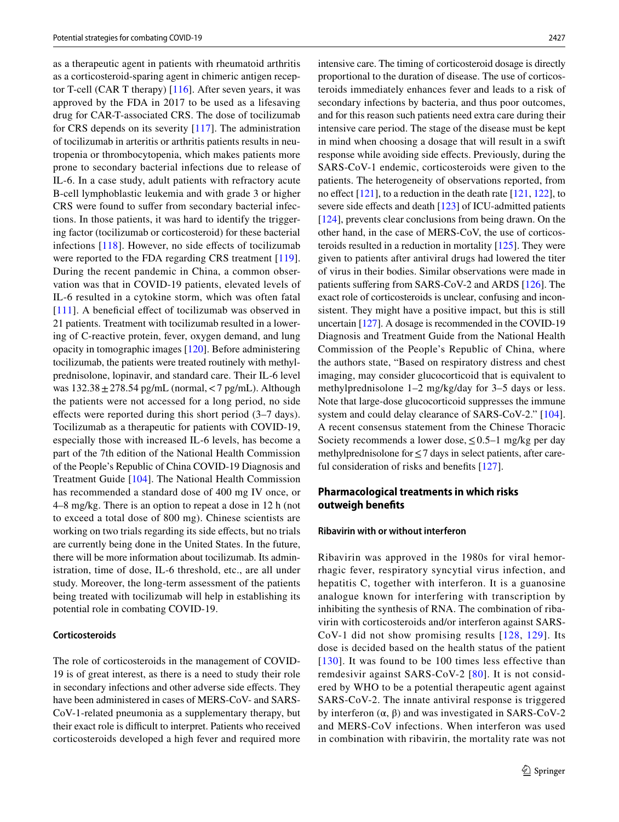as a therapeutic agent in patients with rheumatoid arthritis as a corticosteroid-sparing agent in chimeric antigen receptor T-cell (CAR T therapy)  $[116]$  $[116]$ . After seven years, it was approved by the FDA in 2017 to be used as a lifesaving drug for CAR-T-associated CRS. The dose of tocilizumab for CRS depends on its severity [[117\]](#page-18-2). The administration of tocilizumab in arteritis or arthritis patients results in neutropenia or thrombocytopenia, which makes patients more prone to secondary bacterial infections due to release of IL-6. In a case study, adult patients with refractory acute B-cell lymphoblastic leukemia and with grade 3 or higher CRS were found to suffer from secondary bacterial infections. In those patients, it was hard to identify the triggering factor (tocilizumab or corticosteroid) for these bacterial infections [\[118\]](#page-18-3). However, no side effects of tocilizumab were reported to the FDA regarding CRS treatment [[119](#page-18-4)]. During the recent pandemic in China, a common observation was that in COVID-19 patients, elevated levels of IL-6 resulted in a cytokine storm, which was often fatal [[111\]](#page-17-25). A beneficial effect of tocilizumab was observed in 21 patients. Treatment with tocilizumab resulted in a lowering of C-reactive protein, fever, oxygen demand, and lung opacity in tomographic images [[120\]](#page-18-5). Before administering tocilizumab, the patients were treated routinely with methylprednisolone, lopinavir, and standard care. Their IL-6 level was  $132.38 \pm 278.54$  pg/mL (normal,  $\lt 7$  pg/mL). Although the patients were not accessed for a long period, no side effects were reported during this short period (3–7 days). Tocilizumab as a therapeutic for patients with COVID-19, especially those with increased IL-6 levels, has become a part of the 7th edition of the National Health Commission of the People's Republic of China COVID-19 Diagnosis and Treatment Guide [[104](#page-17-21)]. The National Health Commission has recommended a standard dose of 400 mg IV once, or 4–8 mg/kg. There is an option to repeat a dose in 12 h (not to exceed a total dose of 800 mg). Chinese scientists are working on two trials regarding its side effects, but no trials are currently being done in the United States. In the future, there will be more information about tocilizumab. Its administration, time of dose, IL-6 threshold, etc., are all under study. Moreover, the long-term assessment of the patients being treated with tocilizumab will help in establishing its potential role in combating COVID-19.

#### **Corticosteroids**

The role of corticosteroids in the management of COVID-19 is of great interest, as there is a need to study their role in secondary infections and other adverse side effects. They have been administered in cases of MERS-CoV- and SARS-CoV-1-related pneumonia as a supplementary therapy, but their exact role is difficult to interpret. Patients who received corticosteroids developed a high fever and required more intensive care. The timing of corticosteroid dosage is directly proportional to the duration of disease. The use of corticosteroids immediately enhances fever and leads to a risk of secondary infections by bacteria, and thus poor outcomes, and for this reason such patients need extra care during their intensive care period. The stage of the disease must be kept in mind when choosing a dosage that will result in a swift response while avoiding side effects. Previously, during the SARS-CoV-1 endemic, corticosteroids were given to the patients. The heterogeneity of observations reported, from no effect [[121\]](#page-18-6), to a reduction in the death rate [\[121,](#page-18-6) [122](#page-18-7)], to severe side effects and death [\[123](#page-18-8)] of ICU-admitted patients [[124\]](#page-18-9), prevents clear conclusions from being drawn. On the other hand, in the case of MERS-CoV, the use of corticosteroids resulted in a reduction in mortality [\[125](#page-18-10)]. They were given to patients after antiviral drugs had lowered the titer of virus in their bodies. Similar observations were made in patients suffering from SARS-CoV-2 and ARDS [[126\]](#page-18-11). The exact role of corticosteroids is unclear, confusing and inconsistent. They might have a positive impact, but this is still uncertain [\[127](#page-18-12)]. A dosage is recommended in the COVID-19 Diagnosis and Treatment Guide from the National Health Commission of the People's Republic of China, where the authors state, "Based on respiratory distress and chest imaging, may consider glucocorticoid that is equivalent to methylprednisolone 1–2 mg/kg/day for 3–5 days or less. Note that large-dose glucocorticoid suppresses the immune system and could delay clearance of SARS-CoV-2." [\[104](#page-17-21)]. A recent consensus statement from the Chinese Thoracic Society recommends a lower dose,  $\leq 0.5-1$  mg/kg per day methylprednisolone for  $\leq$  7 days in select patients, after careful consideration of risks and benefits [[127\]](#page-18-12).

### **Pharmacological treatments in which risks outweigh benefits**

#### **Ribavirin with or without interferon**

Ribavirin was approved in the 1980s for viral hemorrhagic fever, respiratory syncytial virus infection, and hepatitis C, together with interferon. It is a guanosine analogue known for interfering with transcription by inhibiting the synthesis of RNA. The combination of ribavirin with corticosteroids and/or interferon against SARS-CoV-1 did not show promising results [[128](#page-18-13), [129](#page-18-14)]. Its dose is decided based on the health status of the patient [[130\]](#page-18-15). It was found to be 100 times less effective than remdesivir against SARS-CoV-2 [[80](#page-16-4)]. It is not considered by WHO to be a potential therapeutic agent against SARS-CoV-2. The innate antiviral response is triggered by interferon  $(α, β)$  and was investigated in SARS-CoV-2 and MERS-CoV infections. When interferon was used in combination with ribavirin, the mortality rate was not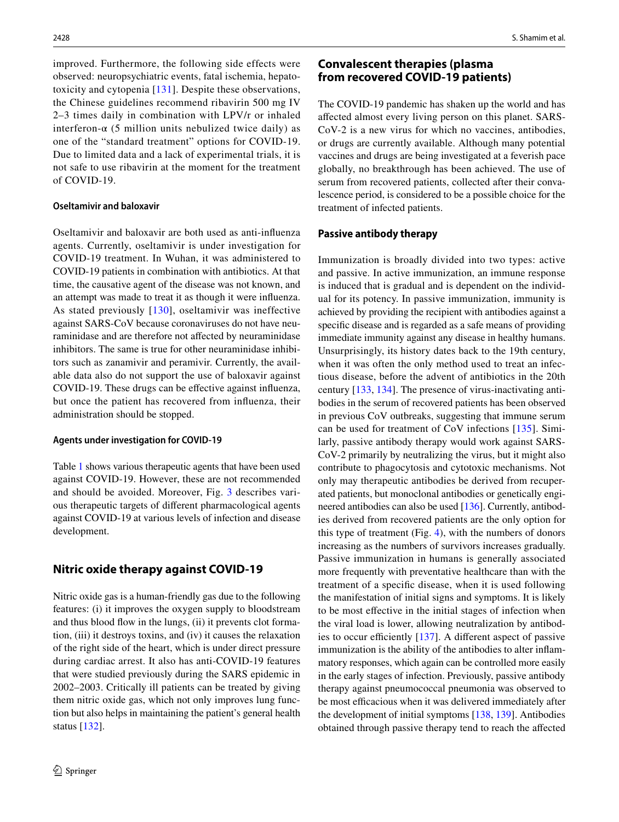improved. Furthermore, the following side effects were observed: neuropsychiatric events, fatal ischemia, hepatotoxicity and cytopenia [[131\]](#page-18-16). Despite these observations, the Chinese guidelines recommend ribavirin 500 mg IV 2–3 times daily in combination with LPV/r or inhaled interferon- $\alpha$  (5 million units nebulized twice daily) as one of the "standard treatment" options for COVID-19. Due to limited data and a lack of experimental trials, it is not safe to use ribavirin at the moment for the treatment of COVID-19.

#### **Oseltamivir and baloxavir**

Oseltamivir and baloxavir are both used as anti-influenza agents. Currently, oseltamivir is under investigation for COVID-19 treatment. In Wuhan, it was administered to COVID-19 patients in combination with antibiotics. At that time, the causative agent of the disease was not known, and an attempt was made to treat it as though it were influenza. As stated previously [[130\]](#page-18-15), oseltamivir was ineffective against SARS-CoV because coronaviruses do not have neuraminidase and are therefore not affected by neuraminidase inhibitors. The same is true for other neuraminidase inhibitors such as zanamivir and peramivir. Currently, the available data also do not support the use of baloxavir against COVID-19. These drugs can be effective against influenza, but once the patient has recovered from influenza, their administration should be stopped.

#### **Agents under investigation for COVID‑19**

Table [1](#page-10-0) shows various therapeutic agents that have been used against COVID-19. However, these are not recommended and should be avoided. Moreover, Fig. [3](#page-11-0) describes various therapeutic targets of different pharmacological agents against COVID-19 at various levels of infection and disease development.

# **Nitric oxide therapy against COVID‑19**

Nitric oxide gas is a human-friendly gas due to the following features: (i) it improves the oxygen supply to bloodstream and thus blood flow in the lungs, (ii) it prevents clot formation, (iii) it destroys toxins, and (iv) it causes the relaxation of the right side of the heart, which is under direct pressure during cardiac arrest. It also has anti-COVID-19 features that were studied previously during the SARS epidemic in 2002–2003. Critically ill patients can be treated by giving them nitric oxide gas, which not only improves lung function but also helps in maintaining the patient's general health status [[132](#page-18-17)].

# **Convalescent therapies (plasma from recovered COVID‑19 patients)**

The COVID-19 pandemic has shaken up the world and has affected almost every living person on this planet. SARS-CoV-2 is a new virus for which no vaccines, antibodies, or drugs are currently available. Although many potential vaccines and drugs are being investigated at a feverish pace globally, no breakthrough has been achieved. The use of serum from recovered patients, collected after their convalescence period, is considered to be a possible choice for the treatment of infected patients.

#### **Passive antibody therapy**

Immunization is broadly divided into two types: active and passive. In active immunization, an immune response is induced that is gradual and is dependent on the individual for its potency. In passive immunization, immunity is achieved by providing the recipient with antibodies against a specific disease and is regarded as a safe means of providing immediate immunity against any disease in healthy humans. Unsurprisingly, its history dates back to the 19th century, when it was often the only method used to treat an infectious disease, before the advent of antibiotics in the 20th century [\[133](#page-18-18), [134](#page-18-19)]. The presence of virus-inactivating antibodies in the serum of recovered patients has been observed in previous CoV outbreaks, suggesting that immune serum can be used for treatment of CoV infections [[135](#page-18-20)]. Similarly, passive antibody therapy would work against SARS-CoV-2 primarily by neutralizing the virus, but it might also contribute to phagocytosis and cytotoxic mechanisms. Not only may therapeutic antibodies be derived from recuperated patients, but monoclonal antibodies or genetically engineered antibodies can also be used [[136](#page-18-21)]. Currently, antibodies derived from recovered patients are the only option for this type of treatment (Fig. [4](#page-11-1)), with the numbers of donors increasing as the numbers of survivors increases gradually. Passive immunization in humans is generally associated more frequently with preventative healthcare than with the treatment of a specific disease, when it is used following the manifestation of initial signs and symptoms. It is likely to be most effective in the initial stages of infection when the viral load is lower, allowing neutralization by antibodies to occur efficiently [\[137\]](#page-18-22). A different aspect of passive immunization is the ability of the antibodies to alter inflammatory responses, which again can be controlled more easily in the early stages of infection. Previously, passive antibody therapy against pneumococcal pneumonia was observed to be most efficacious when it was delivered immediately after the development of initial symptoms [\[138](#page-18-23), [139](#page-18-24)]. Antibodies obtained through passive therapy tend to reach the affected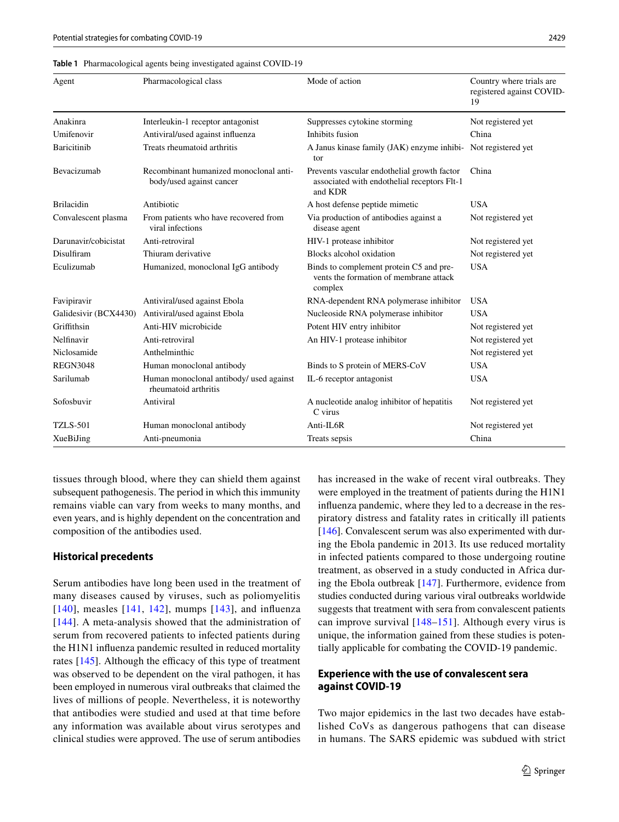#### <span id="page-10-0"></span>**Table 1** Pharmacological agents being investigated against COVID-19

| Agent                 | Pharmacological class                                              | Mode of action                                                                                        | Country where trials are<br>registered against COVID-<br>19 |
|-----------------------|--------------------------------------------------------------------|-------------------------------------------------------------------------------------------------------|-------------------------------------------------------------|
| Anakinra              | Interleukin-1 receptor antagonist                                  | Suppresses cytokine storming                                                                          | Not registered yet                                          |
| Umifenovir            | Antiviral/used against influenza                                   | Inhibits fusion                                                                                       | China                                                       |
| <b>Baricitinib</b>    | Treats rheumatoid arthritis                                        | A Janus kinase family (JAK) enzyme inhibi- Not registered yet<br>tor                                  |                                                             |
| Bevacizumab           | Recombinant humanized monoclonal anti-<br>body/used against cancer | Prevents vascular endothelial growth factor<br>associated with endothelial receptors Flt-1<br>and KDR | China                                                       |
| <b>Brilacidin</b>     | Antibiotic                                                         | A host defense peptide mimetic                                                                        | <b>USA</b>                                                  |
| Convalescent plasma   | From patients who have recovered from<br>viral infections          | Via production of antibodies against a<br>disease agent                                               | Not registered yet                                          |
| Darunavir/cobicistat  | Anti-retroviral                                                    | HIV-1 protease inhibitor                                                                              | Not registered yet                                          |
| Disulfiram            | Thiuram derivative                                                 | Blocks alcohol oxidation                                                                              | Not registered yet                                          |
| Eculizumab            | Humanized, monoclonal IgG antibody                                 | Binds to complement protein C5 and pre-<br>vents the formation of membrane attack<br>complex          | <b>USA</b>                                                  |
| Favipiravir           | Antiviral/used against Ebola                                       | RNA-dependent RNA polymerase inhibitor                                                                | <b>USA</b>                                                  |
| Galidesivir (BCX4430) | Antiviral/used against Ebola                                       | Nucleoside RNA polymerase inhibitor                                                                   | <b>USA</b>                                                  |
| Griffithsin           | Anti-HIV microbicide                                               | Potent HIV entry inhibitor                                                                            | Not registered yet                                          |
| Nelfinavir            | Anti-retroviral                                                    | An HIV-1 protease inhibitor                                                                           | Not registered yet                                          |
| Niclosamide           | Anthelminthic                                                      |                                                                                                       | Not registered yet                                          |
| <b>REGN3048</b>       | Human monoclonal antibody                                          | Binds to S protein of MERS-CoV                                                                        | <b>USA</b>                                                  |
| Sarilumab             | Human monoclonal antibody/ used against<br>rheumatoid arthritis    | IL-6 receptor antagonist                                                                              | <b>USA</b>                                                  |
| Sofosbuvir            | Antiviral                                                          | A nucleotide analog inhibitor of hepatitis<br>C virus                                                 | Not registered yet                                          |
| <b>TZLS-501</b>       | Human monoclonal antibody                                          | Anti-IL6R                                                                                             | Not registered yet                                          |
| XueBiJing             | Anti-pneumonia                                                     | Treats sepsis                                                                                         | China                                                       |

tissues through blood, where they can shield them against subsequent pathogenesis. The period in which this immunity remains viable can vary from weeks to many months, and even years, and is highly dependent on the concentration and composition of the antibodies used.

### **Historical precedents**

Serum antibodies have long been used in the treatment of many diseases caused by viruses, such as poliomyelitis [[140](#page-18-25)], measles [[141,](#page-18-26) [142\]](#page-18-27), mumps [\[143](#page-18-28)], and influenza [[144\]](#page-18-29). A meta-analysis showed that the administration of serum from recovered patients to infected patients during the H1N1 influenza pandemic resulted in reduced mortality rates [\[145](#page-18-30)]. Although the efficacy of this type of treatment was observed to be dependent on the viral pathogen, it has been employed in numerous viral outbreaks that claimed the lives of millions of people. Nevertheless, it is noteworthy that antibodies were studied and used at that time before any information was available about virus serotypes and clinical studies were approved. The use of serum antibodies has increased in the wake of recent viral outbreaks. They were employed in the treatment of patients during the H1N1 influenza pandemic, where they led to a decrease in the respiratory distress and fatality rates in critically ill patients [\[146](#page-18-31)]. Convalescent serum was also experimented with during the Ebola pandemic in 2013. Its use reduced mortality in infected patients compared to those undergoing routine treatment, as observed in a study conducted in Africa during the Ebola outbreak [\[147\]](#page-18-32). Furthermore, evidence from studies conducted during various viral outbreaks worldwide suggests that treatment with sera from convalescent patients can improve survival [\[148–](#page-18-33)[151](#page-19-0)]. Although every virus is unique, the information gained from these studies is potentially applicable for combating the COVID-19 pandemic.

# **Experience with the use of convalescent sera against COVID‑19**

Two major epidemics in the last two decades have established CoVs as dangerous pathogens that can disease in humans. The SARS epidemic was subdued with strict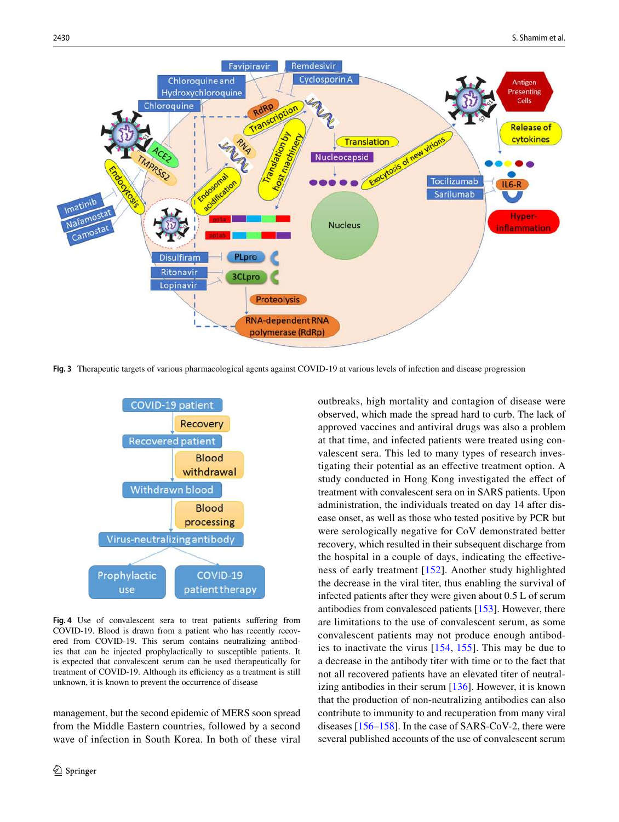

<span id="page-11-0"></span>**Fig. 3** Therapeutic targets of various pharmacological agents against COVID-19 at various levels of infection and disease progression



<span id="page-11-1"></span>**Fig. 4** Use of convalescent sera to treat patients suffering from COVID-19. Blood is drawn from a patient who has recently recovered from COVID-19. This serum contains neutralizing antibodies that can be injected prophylactically to susceptible patients. It is expected that convalescent serum can be used therapeutically for treatment of COVID-19. Although its efficiency as a treatment is still unknown, it is known to prevent the occurrence of disease

management, but the second epidemic of MERS soon spread from the Middle Eastern countries, followed by a second wave of infection in South Korea. In both of these viral outbreaks, high mortality and contagion of disease were observed, which made the spread hard to curb. The lack of approved vaccines and antiviral drugs was also a problem at that time, and infected patients were treated using convalescent sera. This led to many types of research investigating their potential as an effective treatment option. A study conducted in Hong Kong investigated the effect of treatment with convalescent sera on in SARS patients. Upon administration, the individuals treated on day 14 after disease onset, as well as those who tested positive by PCR but were serologically negative for CoV demonstrated better recovery, which resulted in their subsequent discharge from the hospital in a couple of days, indicating the effectiveness of early treatment [[152\]](#page-19-1). Another study highlighted the decrease in the viral titer, thus enabling the survival of infected patients after they were given about 0.5 L of serum antibodies from convalesced patients [[153](#page-19-2)]. However, there are limitations to the use of convalescent serum, as some convalescent patients may not produce enough antibodies to inactivate the virus [\[154,](#page-19-3) [155\]](#page-19-4). This may be due to a decrease in the antibody titer with time or to the fact that not all recovered patients have an elevated titer of neutralizing antibodies in their serum [\[136](#page-18-21)]. However, it is known that the production of non-neutralizing antibodies can also contribute to immunity to and recuperation from many viral diseases [[156–](#page-19-5)[158\]](#page-19-6). In the case of SARS-CoV-2, there were several published accounts of the use of convalescent serum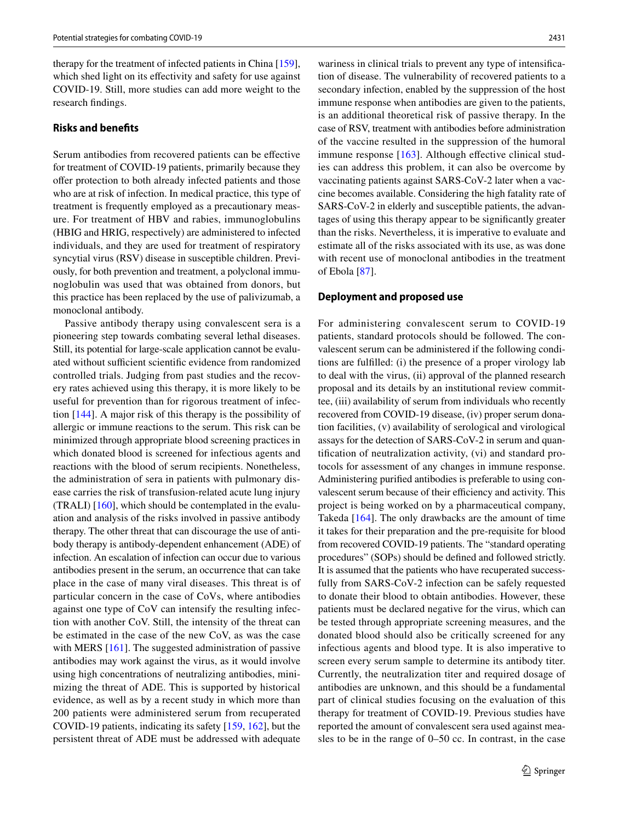therapy for the treatment of infected patients in China [\[159](#page-19-7)], which shed light on its effectivity and safety for use against COVID-19. Still, more studies can add more weight to the research findings.

#### **Risks and benefits**

Serum antibodies from recovered patients can be effective for treatment of COVID-19 patients, primarily because they offer protection to both already infected patients and those who are at risk of infection. In medical practice, this type of treatment is frequently employed as a precautionary measure. For treatment of HBV and rabies, immunoglobulins (HBIG and HRIG, respectively) are administered to infected individuals, and they are used for treatment of respiratory syncytial virus (RSV) disease in susceptible children. Previously, for both prevention and treatment, a polyclonal immunoglobulin was used that was obtained from donors, but this practice has been replaced by the use of palivizumab, a monoclonal antibody.

Passive antibody therapy using convalescent sera is a pioneering step towards combating several lethal diseases. Still, its potential for large-scale application cannot be evaluated without sufficient scientific evidence from randomized controlled trials. Judging from past studies and the recovery rates achieved using this therapy, it is more likely to be useful for prevention than for rigorous treatment of infection [[144\]](#page-18-29). A major risk of this therapy is the possibility of allergic or immune reactions to the serum. This risk can be minimized through appropriate blood screening practices in which donated blood is screened for infectious agents and reactions with the blood of serum recipients. Nonetheless, the administration of sera in patients with pulmonary disease carries the risk of transfusion-related acute lung injury (TRALI) [[160\]](#page-19-8), which should be contemplated in the evaluation and analysis of the risks involved in passive antibody therapy. The other threat that can discourage the use of antibody therapy is antibody-dependent enhancement (ADE) of infection. An escalation of infection can occur due to various antibodies present in the serum, an occurrence that can take place in the case of many viral diseases. This threat is of particular concern in the case of CoVs, where antibodies against one type of CoV can intensify the resulting infection with another CoV. Still, the intensity of the threat can be estimated in the case of the new CoV, as was the case with MERS [[161\]](#page-19-9). The suggested administration of passive antibodies may work against the virus, as it would involve using high concentrations of neutralizing antibodies, minimizing the threat of ADE. This is supported by historical evidence, as well as by a recent study in which more than 200 patients were administered serum from recuperated COVID-19 patients, indicating its safety [\[159](#page-19-7), [162](#page-19-10)], but the persistent threat of ADE must be addressed with adequate

wariness in clinical trials to prevent any type of intensification of disease. The vulnerability of recovered patients to a secondary infection, enabled by the suppression of the host immune response when antibodies are given to the patients, is an additional theoretical risk of passive therapy. In the case of RSV, treatment with antibodies before administration of the vaccine resulted in the suppression of the humoral immune response [\[163\]](#page-19-11). Although effective clinical studies can address this problem, it can also be overcome by vaccinating patients against SARS-CoV-2 later when a vaccine becomes available. Considering the high fatality rate of SARS-CoV-2 in elderly and susceptible patients, the advantages of using this therapy appear to be significantly greater than the risks. Nevertheless, it is imperative to evaluate and estimate all of the risks associated with its use, as was done with recent use of monoclonal antibodies in the treatment of Ebola [\[87](#page-17-4)].

#### **Deployment and proposed use**

For administering convalescent serum to COVID-19 patients, standard protocols should be followed. The convalescent serum can be administered if the following conditions are fulfilled: (i) the presence of a proper virology lab to deal with the virus, (ii) approval of the planned research proposal and its details by an institutional review committee, (iii) availability of serum from individuals who recently recovered from COVID-19 disease, (iv) proper serum donation facilities, (v) availability of serological and virological assays for the detection of SARS-CoV-2 in serum and quantification of neutralization activity, (vi) and standard protocols for assessment of any changes in immune response. Administering purified antibodies is preferable to using convalescent serum because of their efficiency and activity. This project is being worked on by a pharmaceutical company, Takeda [[164](#page-19-12)]. The only drawbacks are the amount of time it takes for their preparation and the pre-requisite for blood from recovered COVID-19 patients. The "standard operating procedures" (SOPs) should be defined and followed strictly. It is assumed that the patients who have recuperated successfully from SARS-CoV-2 infection can be safely requested to donate their blood to obtain antibodies. However, these patients must be declared negative for the virus, which can be tested through appropriate screening measures, and the donated blood should also be critically screened for any infectious agents and blood type. It is also imperative to screen every serum sample to determine its antibody titer. Currently, the neutralization titer and required dosage of antibodies are unknown, and this should be a fundamental part of clinical studies focusing on the evaluation of this therapy for treatment of COVID-19. Previous studies have reported the amount of convalescent sera used against measles to be in the range of 0–50 cc. In contrast, in the case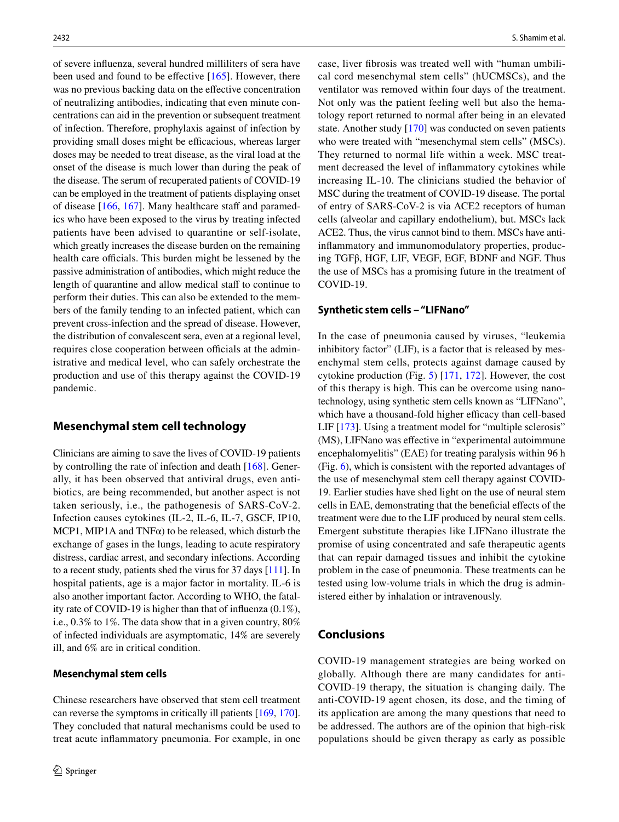of severe influenza, several hundred milliliters of sera have been used and found to be effective [[165](#page-19-13)]. However, there was no previous backing data on the effective concentration of neutralizing antibodies, indicating that even minute concentrations can aid in the prevention or subsequent treatment of infection. Therefore, prophylaxis against of infection by providing small doses might be efficacious, whereas larger doses may be needed to treat disease, as the viral load at the onset of the disease is much lower than during the peak of the disease. The serum of recuperated patients of COVID-19 can be employed in the treatment of patients displaying onset of disease [[166](#page-19-14), [167\]](#page-19-15). Many healthcare staff and paramedics who have been exposed to the virus by treating infected patients have been advised to quarantine or self-isolate, which greatly increases the disease burden on the remaining health care officials. This burden might be lessened by the passive administration of antibodies, which might reduce the length of quarantine and allow medical staff to continue to perform their duties. This can also be extended to the members of the family tending to an infected patient, which can prevent cross-infection and the spread of disease. However, the distribution of convalescent sera, even at a regional level, requires close cooperation between officials at the administrative and medical level, who can safely orchestrate the production and use of this therapy against the COVID-19 pandemic.

# **Mesenchymal stem cell technology**

Clinicians are aiming to save the lives of COVID-19 patients by controlling the rate of infection and death [[168\]](#page-19-16). Generally, it has been observed that antiviral drugs, even antibiotics, are being recommended, but another aspect is not taken seriously, i.e., the pathogenesis of SARS-CoV-2. Infection causes cytokines (IL-2, IL-6, IL-7, GSCF, IP10, MCP1, MIP1A and  $TNF\alpha$ ) to be released, which disturb the exchange of gases in the lungs, leading to acute respiratory distress, cardiac arrest, and secondary infections. According to a recent study, patients shed the virus for 37 days [\[111\]](#page-17-25). In hospital patients, age is a major factor in mortality. IL-6 is also another important factor. According to WHO, the fatality rate of COVID-19 is higher than that of influenza (0.1%), i.e., 0.3% to 1%. The data show that in a given country, 80% of infected individuals are asymptomatic, 14% are severely ill, and 6% are in critical condition.

### **Mesenchymal stem cells**

Chinese researchers have observed that stem cell treatment can reverse the symptoms in critically ill patients [[169,](#page-19-17) [170](#page-19-18)]. They concluded that natural mechanisms could be used to treat acute inflammatory pneumonia. For example, in one case, liver fibrosis was treated well with "human umbilical cord mesenchymal stem cells" (hUCMSCs), and the ventilator was removed within four days of the treatment. Not only was the patient feeling well but also the hematology report returned to normal after being in an elevated state. Another study [[170\]](#page-19-18) was conducted on seven patients who were treated with "mesenchymal stem cells" (MSCs). They returned to normal life within a week. MSC treatment decreased the level of inflammatory cytokines while increasing IL-10. The clinicians studied the behavior of MSC during the treatment of COVID-19 disease. The portal of entry of SARS-CoV-2 is via ACE2 receptors of human cells (alveolar and capillary endothelium), but. MSCs lack ACE2. Thus, the virus cannot bind to them. MSCs have antiinflammatory and immunomodulatory properties, producing TGFβ, HGF, LIF, VEGF, EGF, BDNF and NGF. Thus the use of MSCs has a promising future in the treatment of COVID-19.

### **Synthetic stem cells – "LIFNano"**

In the case of pneumonia caused by viruses, "leukemia inhibitory factor" (LIF), is a factor that is released by mesenchymal stem cells, protects against damage caused by cytokine production (Fig. [5\)](#page-14-4) [\[171](#page-19-19), [172\]](#page-19-20). However, the cost of this therapy is high. This can be overcome using nanotechnology, using synthetic stem cells known as "LIFNano", which have a thousand-fold higher efficacy than cell-based LIF [[173\]](#page-19-21). Using a treatment model for "multiple sclerosis" (MS), LIFNano was effective in "experimental autoimmune encephalomyelitis" (EAE) for treating paralysis within 96 h (Fig. [6\)](#page-14-5), which is consistent with the reported advantages of the use of mesenchymal stem cell therapy against COVID-19. Earlier studies have shed light on the use of neural stem cells in EAE, demonstrating that the beneficial effects of the treatment were due to the LIF produced by neural stem cells. Emergent substitute therapies like LIFNano illustrate the promise of using concentrated and safe therapeutic agents that can repair damaged tissues and inhibit the cytokine problem in the case of pneumonia. These treatments can be tested using low-volume trials in which the drug is administered either by inhalation or intravenously.

# **Conclusions**

COVID-19 management strategies are being worked on globally. Although there are many candidates for anti-COVID-19 therapy, the situation is changing daily. The anti-COVID-19 agent chosen, its dose, and the timing of its application are among the many questions that need to be addressed. The authors are of the opinion that high-risk populations should be given therapy as early as possible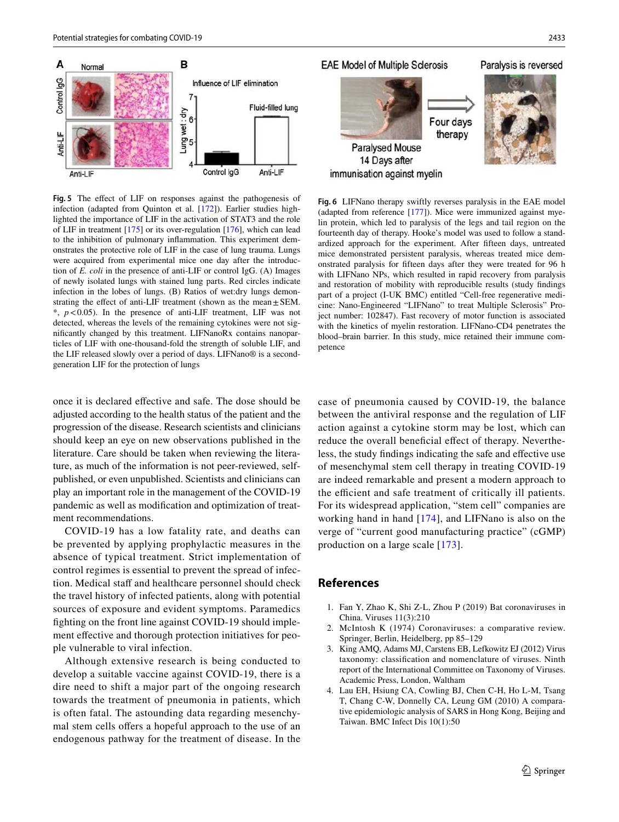

<span id="page-14-4"></span>**Fig. 5** The effect of LIF on responses against the pathogenesis of infection (adapted from Quinton et al. [\[172](#page-19-20)]). Earlier studies highlighted the importance of LIF in the activation of STAT3 and the role of LIF in treatment [\[175](#page-19-23)] or its over-regulation [\[176](#page-19-24)], which can lead to the inhibition of pulmonary inflammation. This experiment demonstrates the protective role of LIF in the case of lung trauma. Lungs were acquired from experimental mice one day after the introduction of *E. coli* in the presence of anti-LIF or control IgG. (A) Images of newly isolated lungs with stained lung parts. Red circles indicate infection in the lobes of lungs. (B) Ratios of wet:dry lungs demonstrating the effect of anti-LIF treatment (shown as the mean  $\pm$  SEM. \*, *p* < 0.05). In the presence of anti-LIF treatment, LIF was not detected, whereas the levels of the remaining cytokines were not significantly changed by this treatment. LIFNanoRx contains nanoparticles of LIF with one-thousand-fold the strength of soluble LIF, and the LIF released slowly over a period of days. LIFNano® is a secondgeneration LIF for the protection of lungs

once it is declared effective and safe. The dose should be adjusted according to the health status of the patient and the progression of the disease. Research scientists and clinicians should keep an eye on new observations published in the literature. Care should be taken when reviewing the literature, as much of the information is not peer-reviewed, selfpublished, or even unpublished. Scientists and clinicians can play an important role in the management of the COVID-19 pandemic as well as modification and optimization of treatment recommendations.

COVID-19 has a low fatality rate, and deaths can be prevented by applying prophylactic measures in the absence of typical treatment. Strict implementation of control regimes is essential to prevent the spread of infection. Medical staff and healthcare personnel should check the travel history of infected patients, along with potential sources of exposure and evident symptoms. Paramedics fighting on the front line against COVID-19 should implement effective and thorough protection initiatives for people vulnerable to viral infection.

Although extensive research is being conducted to develop a suitable vaccine against COVID-19, there is a dire need to shift a major part of the ongoing research towards the treatment of pneumonia in patients, which is often fatal. The astounding data regarding mesenchymal stem cells offers a hopeful approach to the use of an endogenous pathway for the treatment of disease. In the **EAE Model of Multiple Sclerosis** Paralysis is reversed Four days therapy **Paralysed Mouse** 14 Days after

immunisation against myelin

<span id="page-14-5"></span>**Fig. 6** LIFNano therapy swiftly reverses paralysis in the EAE model (adapted from reference [\[177\]](#page-19-25)). Mice were immunized against myelin protein, which led to paralysis of the legs and tail region on the fourteenth day of therapy. Hooke's model was used to follow a standardized approach for the experiment. After fifteen days, untreated mice demonstrated persistent paralysis, whereas treated mice demonstrated paralysis for fifteen days after they were treated for 96 h with LIFNano NPs, which resulted in rapid recovery from paralysis and restoration of mobility with reproducible results (study findings part of a project (I-UK BMC) entitled "Cell-free regenerative medicine: Nano-Engineered "LIFNano" to treat Multiple Sclerosis" Project number: 102847). Fast recovery of motor function is associated with the kinetics of myelin restoration. LIFNano-CD4 penetrates the blood–brain barrier. In this study, mice retained their immune competence

case of pneumonia caused by COVID-19, the balance between the antiviral response and the regulation of LIF action against a cytokine storm may be lost, which can reduce the overall beneficial effect of therapy. Nevertheless, the study findings indicating the safe and effective use of mesenchymal stem cell therapy in treating COVID-19 are indeed remarkable and present a modern approach to the efficient and safe treatment of critically ill patients. For its widespread application, "stem cell" companies are working hand in hand [[174](#page-19-22)], and LIFNano is also on the verge of "current good manufacturing practice" (cGMP) production on a large scale [\[173\]](#page-19-21).

### **References**

- <span id="page-14-0"></span> 1. Fan Y, Zhao K, Shi Z-L, Zhou P (2019) Bat coronaviruses in China. Viruses 11(3):210
- <span id="page-14-1"></span> 2. McIntosh K (1974) Coronaviruses: a comparative review. Springer, Berlin, Heidelberg, pp 85–129
- <span id="page-14-2"></span> 3. King AMQ, Adams MJ, Carstens EB, Lefkowitz EJ (2012) Virus taxonomy: classification and nomenclature of viruses. Ninth report of the International Committee on Taxonomy of Viruses. Academic Press, London, Waltham
- <span id="page-14-3"></span> 4. Lau EH, Hsiung CA, Cowling BJ, Chen C-H, Ho L-M, Tsang T, Chang C-W, Donnelly CA, Leung GM (2010) A comparative epidemiologic analysis of SARS in Hong Kong, Beijing and Taiwan. BMC Infect Dis 10(1):50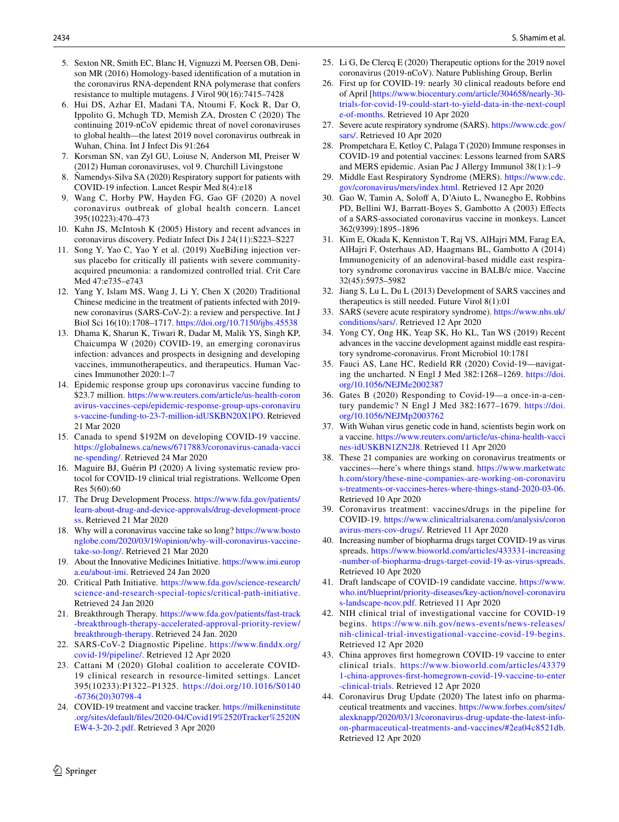- <span id="page-15-0"></span> 5. Sexton NR, Smith EC, Blanc H, Vignuzzi M, Peersen OB, Denison MR (2016) Homology-based identification of a mutation in the coronavirus RNA-dependent RNA polymerase that confers resistance to multiple mutagens. J Virol 90(16):7415–7428
- <span id="page-15-1"></span> 6. Hui DS, Azhar EI, Madani TA, Ntoumi F, Kock R, Dar O, Ippolito G, Mchugh TD, Memish ZA, Drosten C (2020) The continuing 2019-nCoV epidemic threat of novel coronaviruses to global health—the latest 2019 novel coronavirus outbreak in Wuhan, China. Int J Infect Dis 91:264
- <span id="page-15-3"></span> 7. Korsman SN, van Zyl GU, Loiuse N, Anderson MI, Preiser W (2012) Human coronaviruses, vol 9. Churchill Livingstone
- <span id="page-15-2"></span> 8. Ñamendys-Silva SA (2020) Respiratory support for patients with COVID-19 infection. Lancet Respir Med 8(4):e18
- <span id="page-15-4"></span> 9. Wang C, Horby PW, Hayden FG, Gao GF (2020) A novel coronavirus outbreak of global health concern. Lancet 395(10223):470–473
- <span id="page-15-5"></span> 10. Kahn JS, McIntosh K (2005) History and recent advances in coronavirus discovery. Pediatr Infect Dis J 24(11):S223–S227
- <span id="page-15-6"></span> 11. Song Y, Yao C, Yao Y et al. (2019) XueBiJing injection versus placebo for critically ill patients with severe communityacquired pneumonia: a randomized controlled trial. Crit Care Med 47:e735–e743
- <span id="page-15-7"></span> 12. Yang Y, Islam MS, Wang J, Li Y, Chen X (2020) Traditional Chinese medicine in the treatment of patients infected with 2019 new coronavirus (SARS-CoV-2): a review and perspective. Int J Biol Sci 16(10):1708–1717. [https ://doi.org/10.7150/ijbs.45538](https://doi.org/10.7150/ijbs.45538)
- <span id="page-15-8"></span> 13. Dhama K, Sharun K, Tiwari R, Dadar M, Malik YS, Singh KP, Chaicumpa W (2020) COVID-19, an emerging coronavirus infection: advances and prospects in designing and developing vaccines, immunotherapeutics, and therapeutics. Human Vaccines Immunother 2020:1–7
- <span id="page-15-9"></span> 14. Epidemic response group ups coronavirus vaccine funding to \$23.7 million. https://www.reuters.com/article/us-health-coron avirus-vaccines-cepi/epidemic-response-group-ups-coronaviru s-vaccine-funding-to-23-7-million-idUSKBN20X1PO. Retrieved 21 Mar 2020
- <span id="page-15-10"></span> 15. Canada to spend \$192M on developing COVID-19 vaccine. https://globalnews.ca/news/6717883/coronavirus-canada-vacci ne-spending/. Retrieved 24 Mar 2020
- <span id="page-15-11"></span> 16. Maguire BJ, Guérin PJ (2020) A living systematic review protocol for COVID-19 clinical trial registrations. Wellcome Open Res 5(60):60
- <span id="page-15-12"></span>17. The Drug Development Process. https://www.fda.gov/patients/ learn-about-drug-and-device-approvals/drug-development-proce [ss](https://www.fda.gov/patients/learn-about-drug-and-device-approvals/drug-development-process). Retrieved 21 Mar 2020
- <span id="page-15-13"></span>18. Why will a coronavirus vaccine take so long? https://www.bosto nglobe.com/2020/03/19/opinion/why-will-coronavirus-vaccine[take-so-long/.](https://www.bostonglobe.com/2020/03/19/opinion/why-will-coronavirus-vaccine-take-so-long/) Retrieved 21 Mar 2020
- <span id="page-15-14"></span> 19. About the Innovative Medicines Initiative. [https ://www.imi.europ](https://www.imi.europa.eu/about-imi) a.eu/about-imi. Retrieved 24 Jan 2020
- <span id="page-15-15"></span>20. Critical Path Initiative. https://www.fda.gov/science-research/ science-and-research-special-topics/critical-path-initiative. Retrieved 24 Jan 2020
- <span id="page-15-16"></span>21. Breakthrough Therapy. https://www.fda.gov/patients/fast-track -breakthrough-therapy-accelerated-approval-priority-review/ breakthrough-therapy. Retrieved 24 Jan. 2020
- <span id="page-15-17"></span>22. SARS-CoV-2 Diagnostic Pipeline. https://www.finddx.org/ covid-19/pipeline/. Retrieved 12 Apr 2020
- <span id="page-15-18"></span> 23. Cattani M (2020) Global coalition to accelerate COVID-19 clinical research in resource-limited settings. Lancet 395(10233):P1322–P1325. [https ://doi.org/10.1016/S0140](https://doi.org/10.1016/S0140-6736(20)30798-4) [-6736\(20\)30798 -4](https://doi.org/10.1016/S0140-6736(20)30798-4)
- <span id="page-15-19"></span>24. COVID-19 treatment and vaccine tracker. https://milkeninstitute .org/sites/default/files/2020-04/Covid19%2520Tracker%2520N [EW4-3-20-2.pdf.](https://milkeninstitute.org/sites/default/files/2020-04/Covid19%2520Tracker%2520NEW4-3-20-2.pdf) Retrieved 3 Apr 2020
- <span id="page-15-29"></span> 25. Li G, De Clercq E (2020) Therapeutic options for the 2019 novel coronavirus (2019-nCoV). Nature Publishing Group, Berlin
- <span id="page-15-20"></span> 26. First up for COVID-19: nearly 30 clinical readouts before end of April [https://www.biocentury.com/article/304658/nearly-30[trial s-for-covid -19-could -start -to-yield -data-in-the-next-coupl](https://www.biocentury.com/article/304658/nearly-30-trials-for-covid-19-could-start-to-yield-data-in-the-next-couple-of-months) e-of-months. Retrieved 10 Apr 2020
- <span id="page-15-21"></span> 27. Severe acute respiratory syndrome (SARS). [https ://www.cdc.gov/](https://www.cdc.gov/sars/) [sars/](https://www.cdc.gov/sars/). Retrieved 10 Apr 2020
- <span id="page-15-25"></span> 28. Prompetchara E, Ketloy C, Palaga T (2020) Immune responses in COVID-19 and potential vaccines: Lessons learned from SARS and MERS epidemic. Asian Pac J Allergy Immunol 38(1):1–9
- <span id="page-15-22"></span> 29. Middle East Respiratory Syndrome (MERS). [https ://www.cdc.](https://www.cdc.gov/coronavirus/mers/index.html) gov/coronavirus/mers/index.html. Retrieved 12 Apr 2020
- <span id="page-15-23"></span> 30. Gao W, Tamin A, Soloff A, D'Aiuto L, Nwanegbo E, Robbins PD, Bellini WJ, Barratt-Boyes S, Gambotto A (2003) Effects of a SARS-associated coronavirus vaccine in monkeys. Lancet 362(9399):1895–1896
- <span id="page-15-24"></span> 31. Kim E, Okada K, Kenniston T, Raj VS, AlHajri MM, Farag EA, AlHajri F, Osterhaus AD, Haagmans BL, Gambotto A (2014) Immunogenicity of an adenoviral-based middle east respiratory syndrome coronavirus vaccine in BALB/c mice. Vaccine 32(45):5975–5982
- <span id="page-15-26"></span> 32. Jiang S, Lu L, Du L (2013) Development of SARS vaccines and therapeutics is still needed. Future Virol 8(1):01
- <span id="page-15-27"></span> 33. SARS (severe acute respiratory syndrome). [https ://www.nhs.uk/](https://www.nhs.uk/conditions/sars/) conditions/sars/. Retrieved 12 Apr 2020
- <span id="page-15-28"></span> 34. Yong CY, Ong HK, Yeap SK, Ho KL, Tan WS (2019) Recent advances in the vaccine development against middle east respiratory syndrome-coronavirus. Front Microbiol 10:1781
- <span id="page-15-30"></span> 35. Fauci AS, Lane HC, Redield RR (2020) Covid-19—navigating the uncharted. N Engl J Med 382:1268-1269. https://doi. [org/10.1056/NEJMe 20023 87](https://doi.org/10.1056/NEJMe2002387)
- <span id="page-15-31"></span> 36. Gates B (2020) Responding to Covid-19—a once-in-a-century pandemic? N Engl J Med 382:1677-1679. https://doi. org/10.1056/NEJMp2003762
- <span id="page-15-35"></span> 37. With Wuhan virus genetic code in hand, scientists begin work on a vaccine. https://www.reuters.com/article/us-china-health-vacci nes-idUSKBN1ZN2J8. Retrieved 11 Apr 2020
- 38. These 21 companies are working on coronavirus treatments or vaccines—here's where things stand. https://www.marketwatc h.com/story/these-nine-companies-are-working-on-coronaviru s-treatments-or-vaccines-heres-where-things-stand-2020-03-06. Retrieved 10 Apr 2020
- <span id="page-15-32"></span> 39. Coronavirus treatment: vaccines/drugs in the pipeline for COVID-19. https://www.clinicaltrialsarena.com/analysis/coron avirus-mers-cov-drugs/. Retrieved 11 Apr 2020
- <span id="page-15-33"></span> 40. Increasing number of biopharma drugs target COVID-19 as virus spreads. https://www.bioworld.com/articles/433331-increasing -number-of-biopharma-drugs-target-covid-19-as-virus-spreads. Retrieved 10 Apr 2020
- <span id="page-15-34"></span>41. Draft landscape of COVID-19 candidate vaccine. https://www. who.int/blueprint/priority-diseases/key-action/novel-coronaviru s-landscape-ncov.pdf. Retrieved 11 Apr 2020
- <span id="page-15-36"></span> 42. NIH clinical trial of investigational vaccine for COVID-19 begins. https://www.nih.gov/news-events/news-releases/ nih-clinical-trial-investigational-vaccine-covid-19-begins. Retrieved 12 Apr 2020
- <span id="page-15-37"></span> 43. China approves first homegrown COVID-19 vaccine to enter clinical trials. [https ://www.biowo rld.com/artic les/43379](https://www.bioworld.com/articles/433791-china-approves-first-homegrown-covid-19-vaccine-to-enter-clinical-trials) 1-china-approves-first-homegrown-covid-19-vaccine-to-enter -clinical-trials. Retrieved 12 Apr 2020
- <span id="page-15-38"></span> 44. Coronavirus Drug Update (2020) The latest info on pharmaceutical treatments and vaccines. https://www.forbes.com/sites/ alexknapp/2020/03/13/coronavirus-drug-update-the-latest-infoon-pharmaceutical-treatments-and-vaccines/#2ea04c8521db. Retrieved 12 Apr 2020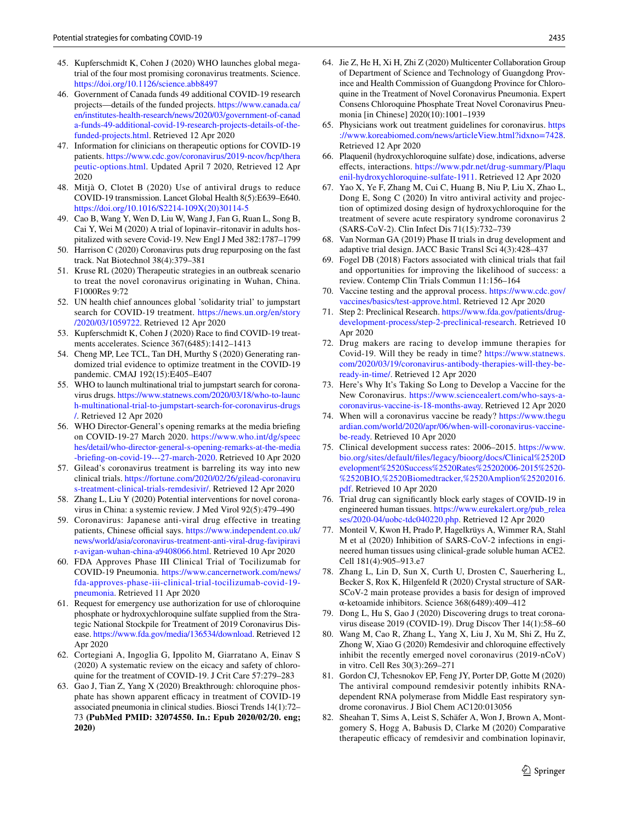- <span id="page-16-0"></span> 45. Kupferschmidt K, Cohen J (2020) WHO launches global megatrial of the four most promising coronavirus treatments. Science. https://doi.org/10.1126/science.abb8497
- <span id="page-16-1"></span> 46. Government of Canada funds 49 additional COVID-19 research projects—details of the funded projects. https://www.canada.ca/ en/institutes-health-research/news/2020/03/government-of-canad a-funds-49-additional-covid-19-research-projects-details-of-thefunded-projects.html. Retrieved 12 Apr 2020
- <span id="page-16-2"></span> 47. Information for clinicians on therapeutic options for COVID-19 patients. https://www.cdc.gov/coronavirus/2019-ncov/hcp/thera peutic-options.html. Updated April 7 2020, Retrieved 12 Apr 2020
- 48. Mitjà O, Clotet B (2020) Use of antiviral drugs to reduce COVID-19 transmission. Lancet Global Health 8(5):E639–E640. https://doi.org/10.1016/S2214-109X(20)30114-5
- <span id="page-16-8"></span> 49. Cao B, Wang Y, Wen D, Liu W, Wang J, Fan G, Ruan L, Song B, Cai Y, Wei M (2020) A trial of lopinavir–ritonavir in adults hospitalized with severe Covid-19. New Engl J Med 382:1787–1799
- 50. Harrison C (2020) Coronavirus puts drug repurposing on the fast track. Nat Biotechnol 38(4):379–381
- 51. Kruse RL (2020) Therapeutic strategies in an outbreak scenario to treat the novel coronavirus originating in Wuhan, China. F1000Res 9:72
- 52. UN health chief announces global 'solidarity trial' to jumpstart search for COVID-19 treatment. https://news.un.org/en/story /2020/03/1059722. Retrieved 12 Apr 2020
- 53. Kupferschmidt K, Cohen J (2020) Race to find COVID-19 treatments accelerates. Science 367(6485):1412–1413
- 54. Cheng MP, Lee TCL, Tan DH, Murthy S (2020) Generating randomized trial evidence to optimize treatment in the COVID-19 pandemic. CMAJ 192(15):E405–E407
- 55. WHO to launch multinational trial to jumpstart search for coronavirus drugs. https://www.statnews.com/2020/03/18/who-to-launc h-multinational-trial-to-jumpstart-search-for-coronavirus-drugs [/.](https://www.statnews.com/2020/03/18/who-to-launch-multinational-trial-to-jumpstart-search-for-coronavirus-drugs/) Retrieved 12 Apr 2020
- 56. WHO Director-General's opening remarks at the media briefing on COVID-19-27 March 2020. [https ://www.who.int/dg/speec](https://www.who.int/dg/speeches/detail/who-director-general-s-opening-remarks-at-the-media-briefing-on-covid-19---27-march-2020) hes/detail/who-director-general-s-opening-remarks-at-the-media -briefing-on-covid-19---27-march-2020. Retrieved 10 Apr 2020
- 57. Gilead's coronavirus treatment is barreling its way into new clinical trials. https://fortune.com/2020/02/26/gilead-coronaviru s-treatment-clinical-trials-remdesivir/. Retrieved 12 Apr 2020
- 58. Zhang L, Liu Y (2020) Potential interventions for novel coronavirus in China: a systemic review. J Med Virol 92(5):479–490
- 59. Coronavirus: Japanese anti-viral drug effective in treating patients, Chinese official says. https://www.independent.co.uk/ news/world/asia/coronavirus-treatment-anti-viral-drug-favipiravi r-avigan-wuhan-china-a9408066.html. Retrieved 10 Apr 2020
- 60. FDA Approves Phase III Clinical Trial of Tocilizumab for COVID-19 Pneumonia. https://www.cancernetwork.com/news/ fda-approves-phase-iii-clinical-trial-tocilizumab-covid-19pneumonia. Retrieved 11 Apr 2020
- 61. Request for emergency use authorization for use of chloroquine phosphate or hydroxychloroquine sulfate supplied from the Strategic National Stockpile for Treatment of 2019 Coronavirus Disease. https://www.fda.gov/media/136534/download. Retrieved 12 Apr 2020
- 62. Cortegiani A, Ingoglia G, Ippolito M, Giarratano A, Einav S (2020) A systematic review on the eicacy and safety of chloroquine for the treatment of COVID-19. J Crit Care 57:279–283
- <span id="page-16-6"></span> 63. Gao J, Tian Z, Yang X (2020) Breakthrough: chloroquine phosphate has shown apparent efficacy in treatment of COVID-19 associated pneumonia in clinical studies. Biosci Trends 14(1):72– 73 **(PubMed PMID: 32074550. In.: Epub 2020/02/20. eng; 2020)**
- 64. Jie Z, He H, Xi H, Zhi Z (2020) Multicenter Collaboration Group of Department of Science and Technology of Guangdong Province and Health Commission of Guangdong Province for Chloroquine in the Treatment of Novel Coronavirus Pneumonia. Expert Consens Chloroquine Phosphate Treat Novel Coronavirus Pneumonia [in Chinese] 2020(10):1001–1939
- 65. Physicians work out treatment guidelines for coronavirus. [https](http://www.koreabiomed.com/news/articleView.html?idxno=7428) ://www.koreabiomed.com/news/articleView.html?idxno=7428. Retrieved 12 Apr 2020
- 66. Plaquenil (hydroxychloroquine sulfate) dose, indications, adverse effects, interactions. https://www.pdr.net/drug-summary/Plaqu enil-hydroxychloroquine-sulfate-1911. Retrieved 12 Apr 2020
- <span id="page-16-7"></span> 67. Yao X, Ye F, Zhang M, Cui C, Huang B, Niu P, Liu X, Zhao L, Dong E, Song C (2020) In vitro antiviral activity and projection of optimized dosing design of hydroxychloroquine for the treatment of severe acute respiratory syndrome coronavirus 2 (SARS-CoV-2). Clin Infect Dis 71(15):732–739
- 68. Van Norman GA (2019) Phase II trials in drug development and adaptive trial design. JACC Basic Transl Sci 4(3):428–437
- 69. Fogel DB (2018) Factors associated with clinical trials that fail and opportunities for improving the likelihood of success: a review. Contemp Clin Trials Commun 11:156–164
- 70. Vaccine testing and the approval process. [https ://www.cdc.gov/](https://www.cdc.gov/vaccines/basics/test-approve.html) vaccines/basics/test-approve.html. Retrieved 12 Apr 2020
- 71. Step 2: Preclinical Research. https://www.fda.gov/patients/drugdevelopment-process/step-2-preclinical-research. Retrieved 10 Apr 2020
- 72. Drug makers are racing to develop immune therapies for Covid-19. Will they be ready in time? https://www.statnews. com/2020/03/19/coron avirus-antibody-therapies-will-they-be[ready -in-time/.](https://www.statnews.com/2020/03/19/coronavirus-antibody-therapies-will-they-be-ready-in-time/) Retrieved 12 Apr 2020
- 73. Here's Why It's Taking So Long to Develop a Vaccine for the New Coronavirus. https://www.sciencealert.com/who-says-acoronavirus-vaccine-is-18-months-away. Retrieved 12 Apr 2020
- 74. When will a coronavirus vaccine be ready? [https ://www.thegu](https://www.theguardian.com/world/2020/apr/06/when-will-coronavirus-vaccine-be-ready) ardian.com/world/2020/apr/06/when-will-coronavirus-vaccine[be-ready](https://www.theguardian.com/world/2020/apr/06/when-will-coronavirus-vaccine-be-ready). Retrieved 10 Apr 2020
- 75. Clinical development success rates: 2006–2015. [https ://www.](https://www.bio.org/sites/default/files/legacy/bioorg/docs/Clinical%2520Development%2520Success%2520Rates%25202006-2015%2520-%2520BIO,%2520Biomedtracker,%2520Amplion%25202016.pdf) bio.org/sites/default/files/legacy/bioorg/docs/Clinical%2520D evelopment%2520Success%2520Rates%25202006-2015%2520-%2520BIO,%2520Biomedtracker,%2520Amplion%25202016. [pdf](https://www.bio.org/sites/default/files/legacy/bioorg/docs/Clinical%2520Development%2520Success%2520Rates%25202006-2015%2520-%2520BIO,%2520Biomedtracker,%2520Amplion%25202016.pdf). Retrieved 10 Apr 2020
- 76. Trial drug can significantly block early stages of COVID-19 in engineered human tissues. https://www.eurekalert.org/pub\_relea ses/2020-04/uobc-tdc040220.php. Retrieved 12 Apr 2020
- 77. Monteil V, Kwon H, Prado P, Hagelkrüys A, Wimmer RA, Stahl M et al (2020) Inhibition of SARS-CoV-2 infections in engineered human tissues using clinical-grade soluble human ACE2. Cell 181(4):905–913.e7
- 78. Zhang L, Lin D, Sun X, Curth U, Drosten C, Sauerhering L, Becker S, Rox K, Hilgenfeld R (2020) Crystal structure of SAR-SCoV-2 main protease provides a basis for design of improved α-ketoamide inhibitors. Science 368(6489):409–412
- <span id="page-16-3"></span> 79. Dong L, Hu S, Gao J (2020) Discovering drugs to treat coronavirus disease 2019 (COVID-19). Drug Discov Ther 14(1):58–60
- <span id="page-16-4"></span> 80. Wang M, Cao R, Zhang L, Yang X, Liu J, Xu M, Shi Z, Hu Z, Zhong W, Xiao G (2020) Remdesivir and chloroquine effectively inhibit the recently emerged novel coronavirus (2019-nCoV) in vitro. Cell Res 30(3):269–271
- 81. Gordon CJ, Tchesnokov EP, Feng JY, Porter DP, Gotte M (2020) The antiviral compound remdesivir potently inhibits RNAdependent RNA polymerase from Middle East respiratory syndrome coronavirus. J Biol Chem AC120:013056
- <span id="page-16-5"></span> 82. Sheahan T, Sims A, Leist S, Schäfer A, Won J, Brown A, Montgomery S, Hogg A, Babusis D, Clarke M (2020) Comparative therapeutic efficacy of remdesivir and combination lopinavir,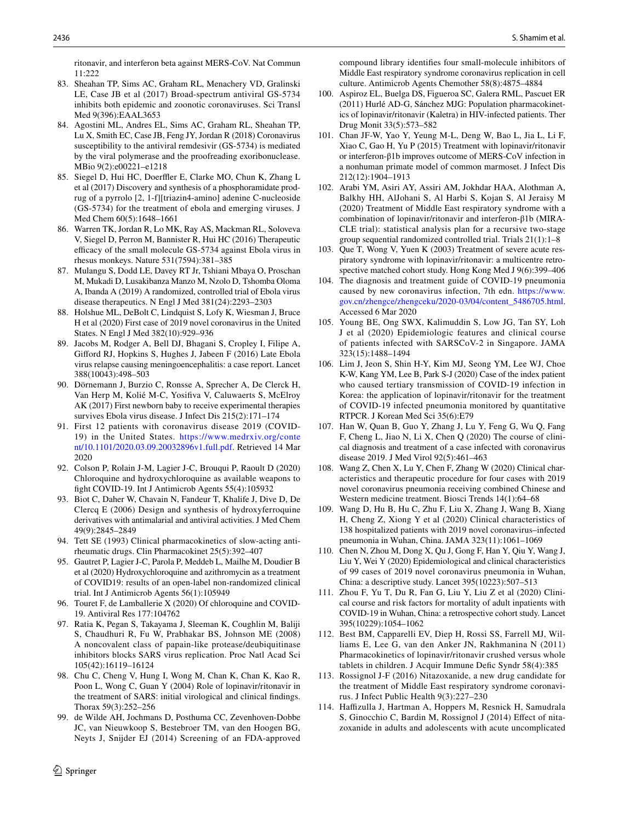ritonavir, and interferon beta against MERS-CoV. Nat Commun 11:222

- <span id="page-17-0"></span> 83. Sheahan TP, Sims AC, Graham RL, Menachery VD, Gralinski LE, Case JB et al (2017) Broad-spectrum antiviral GS-5734 inhibits both epidemic and zoonotic coronaviruses. Sci Transl Med 9(396):EAAL3653
- <span id="page-17-1"></span> 84. Agostini ML, Andres EL, Sims AC, Graham RL, Sheahan TP, Lu X, Smith EC, Case JB, Feng JY, Jordan R (2018) Coronavirus susceptibility to the antiviral remdesivir (GS-5734) is mediated by the viral polymerase and the proofreading exoribonuclease. MBio 9(2):e00221–e1218
- <span id="page-17-2"></span> 85. Siegel D, Hui HC, Doerffler E, Clarke MO, Chun K, Zhang L et al (2017) Discovery and synthesis of a phosphoramidate prodrug of a pyrrolo [2, 1-f][triazin4-amino] adenine C-nucleoside (GS-5734) for the treatment of ebola and emerging viruses. J Med Chem 60(5):1648–1661
- <span id="page-17-3"></span> 86. Warren TK, Jordan R, Lo MK, Ray AS, Mackman RL, Soloveva V, Siegel D, Perron M, Bannister R, Hui HC (2016) Therapeutic efficacy of the small molecule GS-5734 against Ebola virus in rhesus monkeys. Nature 531(7594):381–385
- <span id="page-17-4"></span> 87. Mulangu S, Dodd LE, Davey RT Jr, Tshiani Mbaya O, Proschan M, Mukadi D, Lusakibanza Manzo M, Nzolo D, Tshomba Oloma A, Ibanda A (2019) A randomized, controlled trial of Ebola virus disease therapeutics. N Engl J Med 381(24):2293–2303
- <span id="page-17-5"></span> 88. Holshue ML, DeBolt C, Lindquist S, Lofy K, Wiesman J, Bruce H et al (2020) First case of 2019 novel coronavirus in the United States. N Engl J Med 382(10):929–936
- <span id="page-17-6"></span> 89. Jacobs M, Rodger A, Bell DJ, Bhagani S, Cropley I, Filipe A, Gifford RJ, Hopkins S, Hughes J, Jabeen F (2016) Late Ebola virus relapse causing meningoencephalitis: a case report. Lancet 388(10043):498–503
- <span id="page-17-7"></span> 90. Dörnemann J, Burzio C, Ronsse A, Sprecher A, De Clerck H, Van Herp M, Kolié M-C, Yosifiva V, Caluwaerts S, McElroy AK (2017) First newborn baby to receive experimental therapies survives Ebola virus disease. J Infect Dis 215(2):171–174
- <span id="page-17-8"></span> 91. First 12 patients with coronavirus disease 2019 (COVID-19) in the United States. https://www.medrxiv.org/conte [nt/10.1101/2020.03.09.20032 896v1 .full.pdf.](https://www.medrxiv.org/content/10.1101/2020.03.09.20032896v1.full.pdf) Retrieved 14 Mar 2020
- <span id="page-17-9"></span> 92. Colson P, Rolain J-M, Lagier J-C, Brouqui P, Raoult D (2020) Chloroquine and hydroxychloroquine as available weapons to fight COVID-19. Int J Antimicrob Agents 55(4):105932
- <span id="page-17-10"></span> 93. Biot C, Daher W, Chavain N, Fandeur T, Khalife J, Dive D, De Clercq E (2006) Design and synthesis of hydroxyferroquine derivatives with antimalarial and antiviral activities. J Med Chem 49(9):2845–2849
- <span id="page-17-11"></span> 94. Tett SE (1993) Clinical pharmacokinetics of slow-acting antirheumatic drugs. Clin Pharmacokinet 25(5):392–407
- <span id="page-17-12"></span> 95. Gautret P, Lagier J-C, Parola P, Meddeb L, Mailhe M, Doudier B et al (2020) Hydroxychloroquine and azithromycin as a treatment of COVID19: results of an open-label non-randomized clinical trial. Int J Antimicrob Agents 56(1):105949
- <span id="page-17-13"></span> 96. Touret F, de Lamballerie X (2020) Of chloroquine and COVID-19. Antiviral Res 177:104762
- <span id="page-17-14"></span> 97. Ratia K, Pegan S, Takayama J, Sleeman K, Coughlin M, Baliji S, Chaudhuri R, Fu W, Prabhakar BS, Johnson ME (2008) A noncovalent class of papain-like protease/deubiquitinase inhibitors blocks SARS virus replication. Proc Natl Acad Sci 105(42):16119–16124
- <span id="page-17-15"></span> 98. Chu C, Cheng V, Hung I, Wong M, Chan K, Chan K, Kao R, Poon L, Wong C, Guan Y (2004) Role of lopinavir/ritonavir in the treatment of SARS: initial virological and clinical findings. Thorax 59(3):252–256
- <span id="page-17-16"></span> 99. de Wilde AH, Jochmans D, Posthuma CC, Zevenhoven-Dobbe JC, van Nieuwkoop S, Bestebroer TM, van den Hoogen BG, Neyts J, Snijder EJ (2014) Screening of an FDA-approved

 $\circled{2}$  Springer

compound library identifies four small-molecule inhibitors of Middle East respiratory syndrome coronavirus replication in cell culture. Antimicrob Agents Chemother 58(8):4875–4884

- <span id="page-17-17"></span> 100. Aspiroz EL, Buelga DS, Figueroa SC, Galera RML, Pascuet ER (2011) Hurlé AD-G, Sánchez MJG: Population pharmacokinetics of lopinavir/ritonavir (Kaletra) in HIV-infected patients. Ther Drug Monit 33(5):573–582
- <span id="page-17-18"></span> 101. Chan JF-W, Yao Y, Yeung M-L, Deng W, Bao L, Jia L, Li F, Xiao C, Gao H, Yu P (2015) Treatment with lopinavir/ritonavir or interferon-β1b improves outcome of MERS-CoV infection in a nonhuman primate model of common marmoset. J Infect Dis 212(12):1904–1913
- <span id="page-17-19"></span> 102. Arabi YM, Asiri AY, Assiri AM, Jokhdar HAA, Alothman A, Balkhy HH, AlJohani S, Al Harbi S, Kojan S, Al Jeraisy M (2020) Treatment of Middle East respiratory syndrome with a combination of lopinavir/ritonavir and interferon-β1b (MIRA-CLE trial): statistical analysis plan for a recursive two-stage group sequential randomized controlled trial. Trials 21(1):1–8
- <span id="page-17-20"></span> 103. Que T, Wong V, Yuen K (2003) Treatment of severe acute respiratory syndrome with lopinavir/ritonavir: a multicentre retrospective matched cohort study. Hong Kong Med J 9(6):399–406
- <span id="page-17-21"></span> 104. The diagnosis and treatment guide of COVID-19 pneumonia caused by new coronavirus infection, 7th edn. https://www. gov.cn/zhengce/zhengceku/2020-03/04/content\_5486705.html. Accessed 6 Mar 2020
- <span id="page-17-22"></span> 105. Young BE, Ong SWX, Kalimuddin S, Low JG, Tan SY, Loh J et al (2020) Epidemiologic features and clinical course of patients infected with SARSCoV-2 in Singapore. JAMA 323(15):1488–1494
- 106. Lim J, Jeon S, Shin H-Y, Kim MJ, Seong YM, Lee WJ, Choe K-W, Kang YM, Lee B, Park S-J (2020) Case of the index patient who caused tertiary transmission of COVID-19 infection in Korea: the application of lopinavir/ritonavir for the treatment of COVID-19 infected pneumonia monitored by quantitative RTPCR. J Korean Med Sci 35(6):E79
- 107. Han W, Quan B, Guo Y, Zhang J, Lu Y, Feng G, Wu Q, Fang F, Cheng L, Jiao N, Li X, Chen Q (2020) The course of clinical diagnosis and treatment of a case infected with coronavirus disease 2019. J Med Virol 92(5):461–463
- <span id="page-17-23"></span> 108. Wang Z, Chen X, Lu Y, Chen F, Zhang W (2020) Clinical characteristics and therapeutic procedure for four cases with 2019 novel coronavirus pneumonia receiving combined Chinese and Western medicine treatment. Biosci Trends 14(1):64–68
- <span id="page-17-24"></span> 109. Wang D, Hu B, Hu C, Zhu F, Liu X, Zhang J, Wang B, Xiang H, Cheng Z, Xiong Y et al (2020) Clinical characteristics of 138 hospitalized patients with 2019 novel coronavirus–infected pneumonia in Wuhan, China. JAMA 323(11):1061–1069
- 110. Chen N, Zhou M, Dong X, Qu J, Gong F, Han Y, Qiu Y, Wang J, Liu Y, Wei Y (2020) Epidemiological and clinical characteristics of 99 cases of 2019 novel coronavirus pneumonia in Wuhan, China: a descriptive study. Lancet 395(10223):507–513
- <span id="page-17-25"></span> 111. Zhou F, Yu T, Du R, Fan G, Liu Y, Liu Z et al (2020) Clinical course and risk factors for mortality of adult inpatients with COVID-19 in Wuhan, China: a retrospective cohort study. Lancet 395(10229):1054–1062
- <span id="page-17-26"></span> 112. Best BM, Capparelli EV, Diep H, Rossi SS, Farrell MJ, Williams E, Lee G, van den Anker JN, Rakhmanina N (2011) Pharmacokinetics of lopinavir/ritonavir crushed versus whole tablets in children. J Acquir Immune Defic Syndr 58(4):385
- <span id="page-17-27"></span> 113. Rossignol J-F (2016) Nitazoxanide, a new drug candidate for the treatment of Middle East respiratory syndrome coronavirus. J Infect Public Health 9(3):227–230
- <span id="page-17-28"></span> 114. Haffizulla J, Hartman A, Hoppers M, Resnick H, Samudrala S, Ginocchio C, Bardin M, Rossignol J (2014) Effect of nitazoxanide in adults and adolescents with acute uncomplicated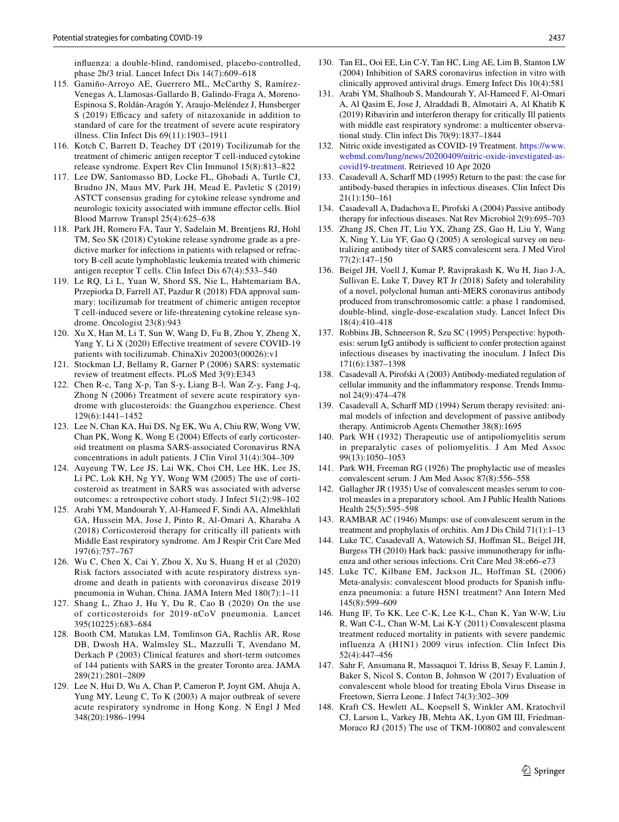influenza: a double-blind, randomised, placebo-controlled, phase 2b/3 trial. Lancet Infect Dis 14(7):609–618

- <span id="page-18-0"></span> 115. Gamiño-Arroyo AE, Guerrero ML, McCarthy S, Ramírez-Venegas A, Llamosas-Gallardo B, Galindo-Fraga A, Moreno-Espinosa S, Roldán-Aragón Y, Araujo-Meléndez J, Hunsberger S (2019) Efficacy and safety of nitazoxanide in addition to standard of care for the treatment of severe acute respiratory illness. Clin Infect Dis 69(11):1903–1911
- <span id="page-18-1"></span> 116. Kotch C, Barrett D, Teachey DT (2019) Tocilizumab for the treatment of chimeric antigen receptor T cell-induced cytokine release syndrome. Expert Rev Clin Immunol 15(8):813–822
- <span id="page-18-2"></span> 117. Lee DW, Santomasso BD, Locke FL, Ghobadi A, Turtle CJ, Brudno JN, Maus MV, Park JH, Mead E, Pavletic S (2019) ASTCT consensus grading for cytokine release syndrome and neurologic toxicity associated with immune effector cells. Biol Blood Marrow Transpl 25(4):625–638
- <span id="page-18-3"></span> 118. Park JH, Romero FA, Taur Y, Sadelain M, Brentjens RJ, Hohl TM, Seo SK (2018) Cytokine release syndrome grade as a predictive marker for infections in patients with relapsed or refractory B-cell acute lymphoblastic leukemia treated with chimeric antigen receptor T cells. Clin Infect Dis 67(4):533–540
- <span id="page-18-4"></span> 119. Le RQ, Li L, Yuan W, Shord SS, Nie L, Habtemariam BA, Przepiorka D, Farrell AT, Pazdur R (2018) FDA approval summary: tocilizumab for treatment of chimeric antigen receptor T cell-induced severe or life-threatening cytokine release syndrome. Oncologist 23(8):943
- <span id="page-18-5"></span> 120. Xu X, Han M, Li T, Sun W, Wang D, Fu B, Zhou Y, Zheng X, Yang Y, Li X (2020) Effective treatment of severe COVID-19 patients with tocilizumab. ChinaXiv 202003(00026):v1
- <span id="page-18-6"></span> 121. Stockman LJ, Bellamy R, Garner P (2006) SARS: systematic review of treatment effects. PLoS Med 3(9):E343
- <span id="page-18-7"></span> 122. Chen R-c, Tang X-p, Tan S-y, Liang B-l, Wan Z-y, Fang J-q, Zhong N (2006) Treatment of severe acute respiratory syndrome with glucosteroids: the Guangzhou experience. Chest 129(6):1441–1452
- <span id="page-18-8"></span> 123. Lee N, Chan KA, Hui DS, Ng EK, Wu A, Chiu RW, Wong VW, Chan PK, Wong K, Wong E (2004) Effects of early corticosteroid treatment on plasma SARS-associated Coronavirus RNA concentrations in adult patients. J Clin Virol 31(4):304–309
- <span id="page-18-9"></span> 124. Auyeung TW, Lee JS, Lai WK, Choi CH, Lee HK, Lee JS, Li PC, Lok KH, Ng YY, Wong WM (2005) The use of corticosteroid as treatment in SARS was associated with adverse outcomes: a retrospective cohort study. J Infect 51(2):98–102
- <span id="page-18-10"></span> 125. Arabi YM, Mandourah Y, Al-Hameed F, Sindi AA, Almekhlafi GA, Hussein MA, Jose J, Pinto R, Al-Omari A, Kharaba A (2018) Corticosteroid therapy for critically ill patients with Middle East respiratory syndrome. Am J Respir Crit Care Med 197(6):757–767
- <span id="page-18-11"></span> 126. Wu C, Chen X, Cai Y, Zhou X, Xu S, Huang H et al (2020) Risk factors associated with acute respiratory distress syndrome and death in patients with coronavirus disease 2019 pneumonia in Wuhan, China. JAMA Intern Med 180(7):1–11
- <span id="page-18-12"></span> 127. Shang L, Zhao J, Hu Y, Du R, Cao B (2020) On the use of corticosteroids for 2019-nCoV pneumonia. Lancet 395(10225):683–684
- <span id="page-18-13"></span> 128. Booth CM, Matukas LM, Tomlinson GA, Rachlis AR, Rose DB, Dwosh HA, Walmsley SL, Mazzulli T, Avendano M, Derkach P (2003) Clinical features and short-term outcomes of 144 patients with SARS in the greater Toronto area. JAMA 289(21):2801–2809
- <span id="page-18-14"></span> 129. Lee N, Hui D, Wu A, Chan P, Cameron P, Joynt GM, Ahuja A, Yung MY, Leung C, To K (2003) A major outbreak of severe acute respiratory syndrome in Hong Kong. N Engl J Med 348(20):1986–1994
- <span id="page-18-15"></span> 130. Tan EL, Ooi EE, Lin C-Y, Tan HC, Ling AE, Lim B, Stanton LW (2004) Inhibition of SARS coronavirus infection in vitro with clinically approved antiviral drugs. Emerg Infect Dis 10(4):581
- <span id="page-18-16"></span> 131. Arabi YM, Shalhoub S, Mandourah Y, Al-Hameed F, Al-Omari A, Al Qasim E, Jose J, Alraddadi B, Almotairi A, Al Khatib K (2019) Ribavirin and interferon therapy for critically Ill patients with middle east respiratory syndrome: a multicenter observational study. Clin infect Dis 70(9):1837–1844
- <span id="page-18-17"></span>132. Nitric oxide investigated as COVID-19 Treatment. https://www. webmd.com/lung/news/20200409/nitric-oxide-investigated-ascovid 19-treatment. Retrieved 10 Apr 2020
- <span id="page-18-18"></span> 133. Casadevall A, Scharff MD (1995) Return to the past: the case for antibody-based therapies in infectious diseases. Clin Infect Dis 21(1):150–161
- <span id="page-18-19"></span> 134. Casadevall A, Dadachova E, Pirofski A (2004) Passive antibody therapy for infectious diseases. Nat Rev Microbiol 2(9):695–703
- <span id="page-18-20"></span> 135. Zhang JS, Chen JT, Liu YX, Zhang ZS, Gao H, Liu Y, Wang X, Ning Y, Liu YF, Gao Q (2005) A serological survey on neutralizing antibody titer of SARS convalescent sera. J Med Virol 77(2):147–150
- <span id="page-18-21"></span> 136. Beigel JH, Voell J, Kumar P, Raviprakash K, Wu H, Jiao J-A, Sullivan E, Luke T, Davey RT Jr (2018) Safety and tolerability of a novel, polyclonal human anti-MERS coronavirus antibody produced from transchromosomic cattle: a phase 1 randomised, double-blind, single-dose-escalation study. Lancet Infect Dis 18(4):410–418
- <span id="page-18-22"></span> 137. Robbins JB, Schneerson R, Szu SC (1995) Perspective: hypothesis: serum IgG antibody is sufficient to confer protection against infectious diseases by inactivating the inoculum. J Infect Dis 171(6):1387–1398
- <span id="page-18-23"></span> 138. Casadevall A, Pirofski A (2003) Antibody-mediated regulation of cellular immunity and the inflammatory response. Trends Immunol 24(9):474–478
- <span id="page-18-24"></span> 139. Casadevall A, Scharff MD (1994) Serum therapy revisited: animal models of infection and development of passive antibody therapy. Antimicrob Agents Chemother 38(8):1695
- <span id="page-18-25"></span> 140. Park WH (1932) Therapeutic use of antipoliomyelitis serum in preparalytic cases of poliomyelitis. J Am Med Assoc 99(13):1050–1053
- <span id="page-18-26"></span> 141. Park WH, Freeman RG (1926) The prophylactic use of measles convalescent serum. J Am Med Assoc 87(8):556–558
- <span id="page-18-27"></span> 142. Gallagher JR (1935) Use of convalescent measles serum to control measles in a preparatory school. Am J Public Health Nations Health 25(5):595–598
- <span id="page-18-28"></span> 143. RAMBAR AC (1946) Mumps: use of convalescent serum in the treatment and prophylaxis of orchitis. Am J Dis Child 71(1):1–13
- <span id="page-18-29"></span> 144. Luke TC, Casadevall A, Watowich SJ, Hoffman SL, Beigel JH, Burgess TH (2010) Hark back: passive immunotherapy for influenza and other serious infections. Crit Care Med 38:e66–e73
- <span id="page-18-30"></span> 145. Luke TC, Kilbane EM, Jackson JL, Hoffman SL (2006) Meta-analysis: convalescent blood products for Spanish influenza pneumonia: a future H5N1 treatment? Ann Intern Med 145(8):599–609
- <span id="page-18-31"></span> 146. Hung IF, To KK, Lee C-K, Lee K-L, Chan K, Yan W-W, Liu R, Watt C-L, Chan W-M, Lai K-Y (2011) Convalescent plasma treatment reduced mortality in patients with severe pandemic influenza A (H1N1) 2009 virus infection. Clin Infect Dis 52(4):447–456
- <span id="page-18-32"></span> 147. Sahr F, Ansumana R, Massaquoi T, Idriss B, Sesay F, Lamin J, Baker S, Nicol S, Conton B, Johnson W (2017) Evaluation of convalescent whole blood for treating Ebola Virus Disease in Freetown, Sierra Leone. J Infect 74(3):302–309
- <span id="page-18-33"></span> 148. Kraft CS, Hewlett AL, Koepsell S, Winkler AM, Kratochvil CJ, Larson L, Varkey JB, Mehta AK, Lyon GM III, Friedman-Moraco RJ (2015) The use of TKM-100802 and convalescent